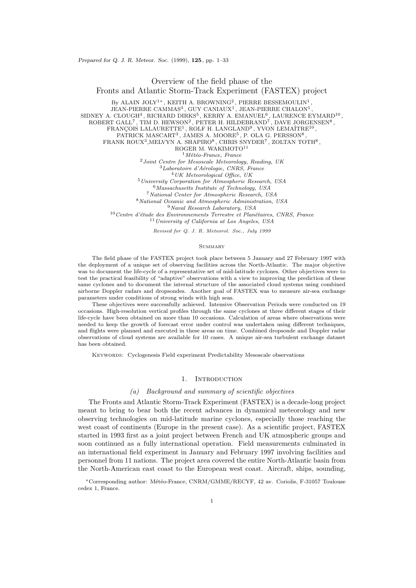Prepared for Q. J. R. Meteor. Soc. (1999), **125**, pp. 1–33

Overview of the field phase of the

Fronts and Atlantic Storm-Track Experiment (FASTEX) project

By ALAIN JOLY<sup>1</sup><sup>\*</sup>, KEITH A. BROWNING<sup>2</sup>, PIERRE BESSEMOULIN<sup>1</sup> JEAN-PIERRE CAMMAS<sup>3</sup>, GUY CANIAUX<sup>1</sup>, JEAN-PIERRE CHALON<sup>1</sup>

SIDNEY A. CLOUGH<sup>4</sup>, RICHARD DIRKS<sup>5</sup>, KERRY A. EMANUEL<sup>6</sup>, LAURENCE EYMARD<sup>10</sup>,

ROBERT GALL<sup>7</sup>, TIM D. HEWSON<sup>2</sup>, PETER H. HILDEBRAND<sup>7</sup>, DAVE JORGENSEN<sup>8</sup>,

FRANÇOIS LALAURETTE<sup>1</sup>, ROLF H. LANGLAND<sup>9</sup>, YVON LEMAÎTRE<sup>10</sup>

PATRICK MASCART<sup>3</sup>, JAMES A. MOORE<sup>5</sup>, P. OLA G. PERSSON<sup>8</sup>,

FRANK ROUX<sup>3</sup>, MELVYN A. SHAPIRO<sup>8</sup>, CHRIS SNYDER<sup>7</sup>, ZOLTAN TOTH<sup>8</sup>,

ROGER M. WAKIMOTO<sup>11</sup>

 $1$ Météo-France, France

<sup>2</sup>Joint Centre for Mesoscale Meteorology, Reading, UK

<sup>3</sup>Laboratoire d'Aérologie, CNRS, France

<sup>4</sup>UK Meteorological Office, UK

<sup>5</sup>University Corporation for Atmospheric Research, USA

<sup>6</sup>Massachusetts Institute of Technology, USA

<sup>7</sup>National Center for Atmospheric Research, USA <sup>8</sup>National Oceanic and Atmospheric Administration, USA

<sup>9</sup>Naval Research Laboratory, USA

<sup>10</sup>Centre d'étude des Environnements Terrestre et Planétaires, CNRS, France <sup>11</sup>University of California at Los Angeles, USA

Revised for Q. J. R. Meteorol. Soc., July 1999

#### **SUMMARY**

The field phase of the FASTEX project took place between 5 January and 27 February 1997 with the deployment of a unique set of observing facilities across the North-Atlantic. The major objective was to document the life-cycle of a representative set of mid-latitude cyclones. Other objectives were to test the practical feasibility of "adaptive" observations with a view to improving the prediction of these same cyclones and to document the internal structure of the associated cloud systems using combined airborne Doppler radars and dropsondes. Another goal of FASTEX was to measure air-sea exchange parameters under conditions of strong winds with high seas.

These objectives were successfully achieved. Intensive Observation Periods were conducted on 19 occasions. High-resolution vertical profiles through the same cyclones at three different stages of their life-cycle have been obtained on more than 10 occasions. Calculation of areas where observations were needed to keep the growth of forecast error under control was undertaken using different techniques, and flights were planned and executed in these areas on time. Combined dropsonde and Doppler radar observations of cloud systems are available for 10 cases. A unique air-sea turbulent exchange dataset has been obtained.

Keywords: Cyclogenesis Field experiment Predictability Mesoscale observations

# 1. INTRODUCTION

## (a) Background and summary of scientific objectives

The Fronts and Atlantic Storm-Track Experiment (FASTEX) is a decade-long project meant to bring to bear both the recent advances in dynamical meteorology and new observing technologies on mid-latitude marine cyclones, especially those reaching the west coast of continents (Europe in the present case). As a scientific project, FASTEX started in 1993 first as a joint project between French and UK atmospheric groups and soon continued as a fully international operation. Field measurements culminated in an international field experiment in January and February 1997 involving facilities and personnel from 11 nations. The project area covered the entire North-Atlantic basin from the North-American east coast to the European west coast. Aircraft, ships, sounding,

∗Corresponding author: Météo-France, CNRM/GMME/RECYF, 42 av. Coriolis, F-31057 Toulouse cedex 1, France.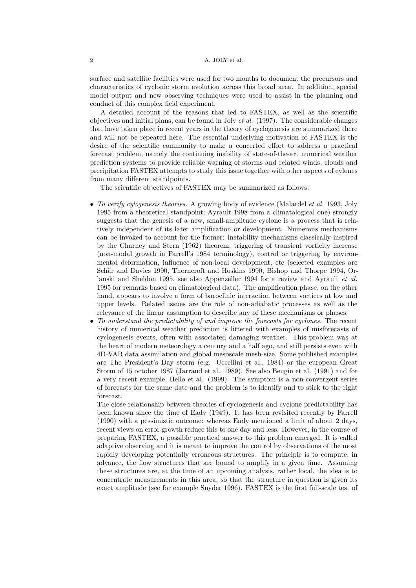#### $2$  A. JOLY et al.

surface and satellite facilities were used for two months to document the precursors and characteristics of cyclonic storm evolution across this broad area. In addition, special model output and new observing techniques were used to assist in the planning and conduct of this complex field experiment.

A detailed account of the reasons that led to FASTEX, as well as the scientific objectives and initial plans, can be found in Joly et al. (1997). The considerable changes that have taken place in recent years in the theory of cyclogenesis are summarized there and will not be repeated here. The essential underlying motivation of FASTEX is the desire of the scientific community to make a concerted effort to address a practical forecast problem, namely the continuing inability of state-of-the-art numerical weather prediction systems to provide reliable warning of storms and related winds, clouds and precipitation FASTEX attempts to study this issue together with other aspects of cylones from many different standpoints.

The scientific objectives of FASTEX may be summarized as follows:

- To verify cylogenesis theories. A growing body of evidence (Malardel *et al.* 1993, Joly 1995 from a theoretical standpoint; Ayrault 1998 from a climatological one) strongly suggests that the genesis of a new, small-amplitude cyclone is a process that is relatively independent of its later amplification or development. Numerous mechanisms can be invoked to account for the former: instability mechanisms classically inspired by the Charney and Stern (1962) theorem, triggering of transient vorticity increase (non-modal growth in Farrell's 1984 terminology), control or triggering by environmental deformation, influence of non-local development, etc (selected examples are Schär and Davies 1990, Thorncroft and Hoskins 1990, Bishop and Thorpe 1994, Orlanski and Sheldon 1995, see also Appenzeller 1994 for a review and Ayrault et al. 1995 for remarks based on climatological data). The amplification phase, on the other hand, appears to involve a form of baroclinic interaction between vortices at low and upper levels. Related issues are the role of non-adiabatic processes as well as the relevance of the linear assumption to describe any of these mechanisms or phases.
- To understand the predictability of and improve the forecasts for cyclones. The recent history of numerical weather prediction is littered with examples of misforecasts of cyclogenesis events, often with associated damaging weather. This problem was at the heart of modern meteorology a century and a half ago, and still persists even with 4D-VAR data assimilation and global mesoscale mesh-size. Some published examples are The President's Day storm (e.g. Uccellini et al., 1984) or the european Great Storm of 15 october 1987 (Jarraud et al., 1989). See also Beugin et al. (1991) and for a very recent example, Hello et al. (1999). The symptom is a non-convergent series of forecasts for the same date and the problem is to identify and to stick to the right forecast.

The close relationship between theories of cyclogenesis and cyclone predictability has been known since the time of Eady (1949). It has been revisited recently by Farrell (1990) with a pessimistic outcome: whereas Eady mentioned a limit of about 2 days, recent views on error growth reduce this to one day and less. However, in the course of preparing FASTEX, a possible practical answer to this problem emerged. It is called adaptive observing and it is meant to improve the control by observations of the most rapidly developing potentially erroneous structures. The principle is to compute, in advance, the flow structures that are bound to amplify in a given time. Assuming these structures are, at the time of an upcoming analysis, rather local, the idea is to concentrate measurements in this area, so that the structure in question is given its exact amplitude (see for example Snyder 1996). FASTEX is the first full-scale test of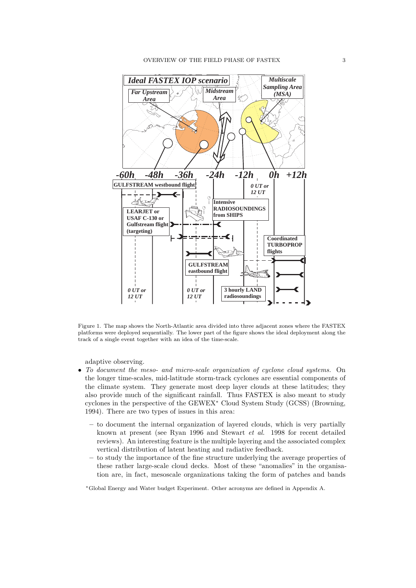

Figure 1. The map shows the North-Atlantic area divided into three adjacent zones where the FASTEX platforms were deployed sequentially. The lower part of the figure shows the ideal deployment along the track of a single event together with an idea of the time-scale.

adaptive observing.

- To document the meso- and micro-scale organization of cyclone cloud systems. On the longer time-scales, mid-latitude storm-track cyclones are essential components of the climate system. They generate most deep layer clouds at these latitudes; they also provide much of the significant rainfall. Thus FASTEX is also meant to study cyclones in the perspective of the GEWEX<sup>∗</sup> Cloud System Study (GCSS) (Browning, 1994). There are two types of issues in this area:
	- **–** to document the internal organization of layered clouds, which is very partially known at present (see Ryan 1996 and Stewart et al. 1998 for recent detailed reviews). An interesting feature is the multiple layering and the associated complex vertical distribution of latent heating and radiative feedback.
	- **–** to study the importance of the fine structure underlying the average properties of these rather large-scale cloud decks. Most of these "anomalies" in the organisation are, in fact, mesoscale organizations taking the form of patches and bands

∗Global Energy and Water budget Experiment. Other acronyms are defined in Appendix A.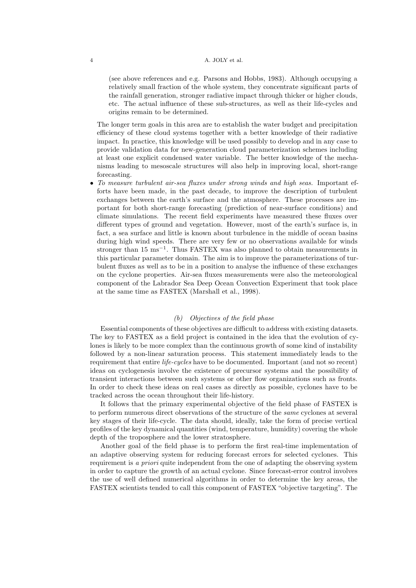#### 4 A. JOLY et al.

(see above references and e.g. Parsons and Hobbs, 1983). Although occupying a relatively small fraction of the whole system, they concentrate significant parts of the rainfall generation, stronger radiative impact through thicker or higher clouds, etc. The actual influence of these sub-structures, as well as their life-cycles and origins remain to be determined.

The longer term goals in this area are to establish the water budget and precipitation efficiency of these cloud systems together with a better knowledge of their radiative impact. In practice, this knowledge will be used possibly to develop and in any case to provide validation data for new-generation cloud parameterization schemes including at least one explicit condensed water variable. The better knowledge of the mechanisms leading to mesoscale structures will also help in improving local, short-range forecasting.

• To measure turbulent air-sea fluxes under strong winds and high seas. Important efforts have been made, in the past decade, to improve the description of turbulent exchanges between the earth's surface and the atmosphere. These processes are important for both short-range forecasting (prediction of near-surface conditions) and climate simulations. The recent field experiments have measured these fluxes over different types of ground and vegetation. However, most of the earth's surface is, in fact, a sea surface and little is known about turbulence in the middle of ocean basins during high wind speeds. There are very few or no observations available for winds stronger than 15 ms<sup>-1</sup>. Thus FASTEX was also planned to obtain measurements in this particular parameter domain. The aim is to improve the parameterizations of turbulent fluxes as well as to be in a position to analyse the influence of these exchanges on the cyclone properties. Air-sea fluxes measurements were also the meteorological component of the Labrador Sea Deep Ocean Convection Experiment that took place at the same time as FASTEX (Marshall et al., 1998).

## (b) Objectives of the field phase

Essential components of these objectives are difficult to address with existing datasets. The key to FASTEX as a field project is contained in the idea that the evolution of cylones is likely to be more complex than the continuous growth of some kind of instability followed by a non-linear saturation process. This statement immediately leads to the requirement that entire *life-cycles* have to be documented. Important (and not so recent) ideas on cyclogenesis involve the existence of precursor systems and the possibility of transient interactions between such systems or other flow organizations such as fronts. In order to check these ideas on real cases as directly as possible, cyclones have to be tracked across the ocean throughout their life-history.

It follows that the primary experimental objective of the field phase of FASTEX is to perform numerous direct observations of the structure of the *same* cyclones at several key stages of their life-cycle. The data should, ideally, take the form of precise vertical profiles of the key dynamical quantities (wind, temperature, humidity) covering the whole depth of the troposphere and the lower stratosphere.

Another goal of the field phase is to perform the first real-time implementation of an adaptive observing system for reducing forecast errors for selected cyclones. This requirement is a priori quite independent from the one of adapting the observing system in order to capture the growth of an actual cyclone. Since forecast-error control involves the use of well defined numerical algorithms in order to determine the key areas, the FASTEX scientists tended to call this component of FASTEX "objective targeting". The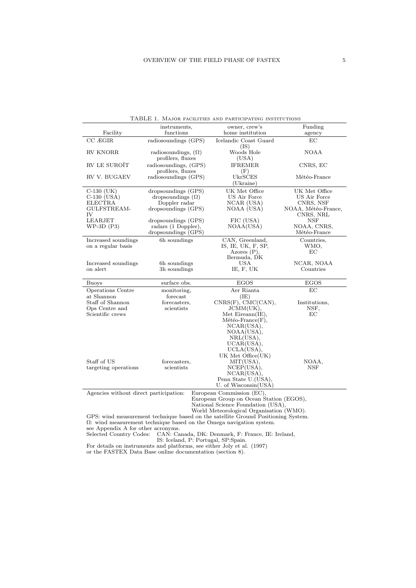| Facility                                                                                              | instruments,<br>functions                                                                                                             | owner, crew's<br>home institution                                                                                                       | Funding<br>agency                                                                                           |
|-------------------------------------------------------------------------------------------------------|---------------------------------------------------------------------------------------------------------------------------------------|-----------------------------------------------------------------------------------------------------------------------------------------|-------------------------------------------------------------------------------------------------------------|
| $CC$ $EGIR$                                                                                           | radiosoundings (GPS)                                                                                                                  | Icelandic Coast Guard                                                                                                                   | EС                                                                                                          |
| RV KNORR                                                                                              | radiosoundings, $(\Omega)$<br>profilers, fluxes                                                                                       | (IS)<br>Woods Hole<br>(USA)                                                                                                             | <b>NOAA</b>                                                                                                 |
| RV LE SUROÎT                                                                                          | radiosoundings, (GPS)<br>profilers, fluxes                                                                                            | <b>IFREMER</b><br>(F)                                                                                                                   | CNRS, EC                                                                                                    |
| RV V. BUGAEV                                                                                          | radiosoundings (GPS)                                                                                                                  | <b>UkrSCES</b><br>(Ukraine)                                                                                                             | Météo-France                                                                                                |
| $C-130$ (UK)<br>$C-130$ (USA)<br><b>ELECTRA</b><br>GULFSTREAM-<br>IV<br><b>LEARJET</b><br>$WP-3D(P3)$ | dropsoundings (GPS)<br>dropsoundings $(\Omega)$<br>Doppler radar<br>dropsoundings (GPS)<br>dropsoundings (GPS)<br>radars (1 Doppler), | UK Met Office<br>US Air Force<br>NCAR (USA)<br>NOAA (USA)<br>FIC (USA)<br>NOAA(USA)                                                     | UK Met Office<br>US Air Force<br>CNRS, NSF<br>NOAA, Météo-France,<br>CNRS, NRL<br><b>NSF</b><br>NOAA, CNRS, |
|                                                                                                       | dropsoundings (GPS)                                                                                                                   |                                                                                                                                         | Météo-France                                                                                                |
| Increased soundings<br>on a regular basis                                                             | 6h soundings                                                                                                                          | CAN, Greenland,<br>IS, IE, UK, F, SP,<br>Azores $(P)$ ,<br>Bermuda, DK                                                                  | Countries,<br>WMO,<br>EС                                                                                    |
| Increased soundings<br>on alert                                                                       | 6h soundings<br>3h soundings                                                                                                          | <b>USA</b><br>IE, F, UK                                                                                                                 | NCAR, NOAA<br>Countries                                                                                     |
| <b>Buoys</b>                                                                                          | surface obs.                                                                                                                          | <b>EGOS</b>                                                                                                                             | EGOS                                                                                                        |
| Operations Centre<br>at Shannon<br>Staff of Shannon<br>Ops Centre and                                 | monitoring,<br>forecast<br>forecasters,<br>scientists                                                                                 | Aer Rianta<br>(IE)<br>$CNRS(F)$ , $CMC(CAN)$ ,<br>JCMM(UK),                                                                             | EC<br>Institutions,<br>NSF,                                                                                 |
| Scientific crews                                                                                      |                                                                                                                                       | Met Eireann $(IE)$ ,<br>$Méteo-France(F),$<br>$NCAR(USA)$ ,<br>NOAA(USA),<br>NRL(USA),<br>UCAR(USA),<br>UCLA(USA),<br>UK Met Office(UK) | EC                                                                                                          |
| Staff of US<br>targeting operations                                                                   | forecasters,<br>scientists                                                                                                            | MIT(USA),<br>$NCEP(USA)$ ,<br>$NCAR(USA)$ ,<br>Penn State U.(USA),<br>U. of Wisconsin(USA)                                              | NOAA,<br>NSF                                                                                                |
| Agencies without direct participation:                                                                |                                                                                                                                       | European Commission (EC),<br>European Group on Ocean Station (EGOS),                                                                    |                                                                                                             |

TABLE 1. Major facilities and participating institutions

European Group on Ocean Station (EGOS),

National Science Foundation (USA),

World Meteorological Organisation (WMO).

GPS: wind measurement technique based on the satellite Ground Positioning System.  $\Omega$ : wind measurement technique based on the Omega navigation system. see Appendix A for other acronyms.

Selected Country Codes: CAN: Canada, DK: Denmark, F: France, IE: Ireland,

IS: Iceland, P: Portugal, SP:Spain. For details on instruments and platforms, see either Joly et al. (1997)

or the FASTEX Data Base online documentation (section 8).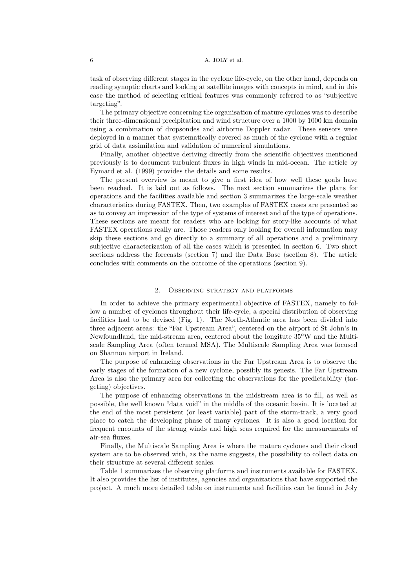task of observing different stages in the cyclone life-cycle, on the other hand, depends on reading synoptic charts and looking at satellite images with concepts in mind, and in this case the method of selecting critical features was commonly referred to as "subjective targeting".

The primary objective concerning the organisation of mature cyclones was to describe their three-dimensional precipitation and wind structure over a 1000 by 1000 km domain using a combination of dropsondes and airborne Doppler radar. These sensors were deployed in a manner that systematically covered as much of the cyclone with a regular grid of data assimilation and validation of numerical simulations.

Finally, another objective deriving directly from the scientific objectives mentioned previously is to document turbulent fluxes in high winds in mid-ocean. The article by Eymard et al. (1999) provides the details and some results.

The present overview is meant to give a first idea of how well these goals have been reached. It is laid out as follows. The next section summarizes the plans for operations and the facilities available and section 3 summarizes the large-scale weather characteristics during FASTEX. Then, two examples of FASTEX cases are presented so as to convey an impression of the type of systems of interest and of the type of operations. These sections are meant for readers who are looking for story-like accounts of what FASTEX operations really are. Those readers only looking for overall information may skip these sections and go directly to a summary of all operations and a preliminary subjective characterization of all the cases which is presented in section 6. Two short sections address the forecasts (section 7) and the Data Base (section 8). The article concludes with comments on the outcome of the operations (section 9).

## 2. Observing strategy and platforms

In order to achieve the primary experimental objective of FASTEX, namely to follow a number of cyclones throughout their life-cycle, a special distribution of observing facilities had to be devised (Fig. 1). The North-Atlantic area has been divided into three adjacent areas: the "Far Upstream Area", centered on the airport of St John's in Newfoundland, the mid-stream area, centered about the longitute 35<sup>o</sup>W and the Multiscale Sampling Area (often termed MSA). The Multiscale Sampling Area was focused on Shannon airport in Ireland.

The purpose of enhancing observations in the Far Upstream Area is to observe the early stages of the formation of a new cyclone, possibly its genesis. The Far Upstream Area is also the primary area for collecting the observations for the predictability (targeting) objectives.

The purpose of enhancing observations in the midstream area is to fill, as well as possible, the well known "data void" in the middle of the oceanic basin. It is located at the end of the most persistent (or least variable) part of the storm-track, a very good place to catch the developing phase of many cyclones. It is also a good location for frequent encounts of the strong winds and high seas required for the measurements of air-sea fluxes.

Finally, the Multiscale Sampling Area is where the mature cyclones and their cloud system are to be observed with, as the name suggests, the possibility to collect data on their structure at several different scales.

Table 1 summarizes the observing platforms and instruments available for FASTEX. It also provides the list of institutes, agencies and organizations that have supported the project. A much more detailed table on instruments and facilities can be found in Joly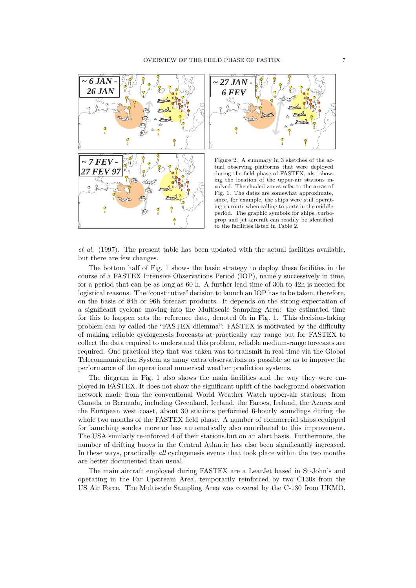



Figure 2. A summary in 3 sketches of the actual observing platforms that were deployed during the field phase of FASTEX, also showing the location of the upper-air stations involved. The shaded zones refer to the areas of Fig. 1. The dates are somewhat approximate, since, for example, the ships were still operating en route when calling to ports in the middle period. The graphic symbols for ships, turboprop and jet aircraft can readily be identified to the facilities listed in Table 2.

et al. (1997). The present table has been updated with the actual facilities available, but there are few changes.

The bottom half of Fig. 1 shows the basic strategy to deploy these facilities in the course of a FASTEX Intensive Observations Period (IOP), namely successively in time, for a period that can be as long as 60 h. A further lead time of 30h to 42h is needed for logistical reasons. The "constitutive" decision to launch an IOP has to be taken, therefore, on the basis of 84h or 96h forecast products. It depends on the strong expectation of a significant cyclone moving into the Multiscale Sampling Area: the estimated time for this to happen sets the reference date, denoted 0h in Fig. 1. This decision-taking problem can by called the "FASTEX dilemma": FASTEX is motivated by the difficulty of making reliable cyclogenesis forecasts at practically any range but for FASTEX to collect the data required to understand this problem, reliable medium-range forecasts are required. One practical step that was taken was to transmit in real time via the Global Telecommunication System as many extra observations as possible so as to improve the performance of the operational numerical weather prediction systems.

The diagram in Fig. 1 also shows the main facilities and the way they were employed in FASTEX. It does not show the significant uplift of the background observation network made from the conventional World Weather Watch upper-air stations: from Canada to Bermuda, including Greenland, Iceland, the Faroes, Ireland, the Azores and the European west coast, about 30 stations performed 6-hourly soundings during the whole two months of the FASTEX field phase. A number of commercial ships equipped for launching sondes more or less automatically also contributed to this improvement. The USA similarly re-inforced 4 of their stations but on an alert basis. Furthermore, the number of drifting buoys in the Central Atlantic has also been significantly increased. In these ways, practically all cyclogenesis events that took place within the two months are better documented than usual.

The main aircraft employed during FASTEX are a LearJet based in St-John's and operating in the Far Upstream Area, temporarily reinforced by two C130s from the US Air Force. The Multiscale Sampling Area was covered by the C-130 from UKMO,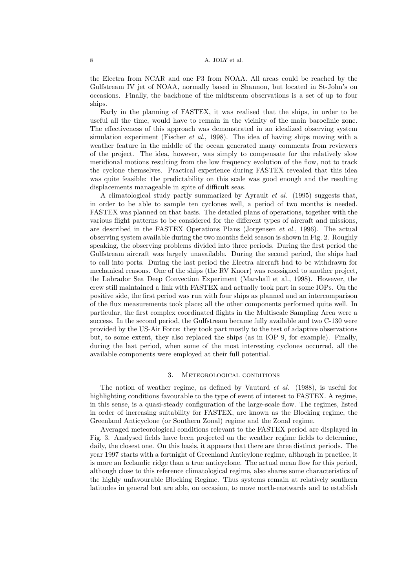the Electra from NCAR and one P3 from NOAA. All areas could be reached by the Gulfstream IV jet of NOAA, normally based in Shannon, but located in St-John's on occasions. Finally, the backbone of the midtsream observations is a set of up to four ships.

Early in the planning of FASTEX, it was realised that the ships, in order to be useful all the time, would have to remain in the vicinity of the main baroclinic zone. The effectiveness of this approach was demonstrated in an idealized observing system simulation experiment (Fischer *et al.*, 1998). The idea of having ships moving with a weather feature in the middle of the ocean generated many comments from reviewers of the project. The idea, however, was simply to compensate for the relatively slow meridional motions resulting from the low frequency evolution of the flow, not to track the cyclone themselves. Practical experience during FASTEX revealed that this idea was quite feasible: the predictability on this scale was good enough and the resulting displacements manageable in spite of difficult seas.

A climatological study partly summarized by Ayrault *et al.* (1995) suggests that, in order to be able to sample ten cyclones well, a period of two months is needed. FASTEX was planned on that basis. The detailed plans of operations, together with the various flight patterns to be considered for the different types of aircraft and missions, are described in the FASTEX Operations Plans (Jorgensen et al., 1996). The actual observing system available during the two months field season is shown in Fig. 2. Roughly speaking, the observing problems divided into three periods. During the first period the Gulfstream aircraft was largely unavailable. During the second period, the ships had to call into ports. During the last period the Electra aircraft had to be withdrawn for mechanical reasons. One of the ships (the RV Knorr) was reassigned to another project, the Labrador Sea Deep Convection Experiment (Marshall et al., 1998). However, the crew still maintained a link with FASTEX and actually took part in some IOPs. On the positive side, the first period was run with four ships as planned and an intercomparison of the flux measurements took place; all the other components performed quite well. In particular, the first complex coordinated flights in the Multiscale Sampling Area were a success. In the second period, the Gulfstream became fully available and two C-130 were provided by the US-Air Force: they took part mostly to the test of adaptive observations but, to some extent, they also replaced the ships (as in IOP 9, for example). Finally, during the last period, when some of the most interesting cyclones occurred, all the available components were employed at their full potential.

## 3. Meteorological conditions

The notion of weather regime, as defined by Vautard et al. (1988), is useful for highlighting conditions favourable to the type of event of interest to FASTEX. A regime, in this sense, is a quasi-steady configuration of the large-scale flow. The regimes, listed in order of increasing suitability for FASTEX, are known as the Blocking regime, the Greenland Anticyclone (or Southern Zonal) regime and the Zonal regime.

Averaged meteorological conditions relevant to the FASTEX period are displayed in Fig. 3. Analysed fields have been projected on the weather regime fields to determine, daily, the closest one. On this basis, it appears that there are three distinct periods. The year 1997 starts with a fortnight of Greenland Anticylone regime, although in practice, it is more an Icelandic ridge than a true anticyclone. The actual mean flow for this period, although close to this reference climatological regime, also shares some characteristics of the highly unfavourable Blocking Regime. Thus systems remain at relatively southern latitudes in general but are able, on occasion, to move north-eastwards and to establish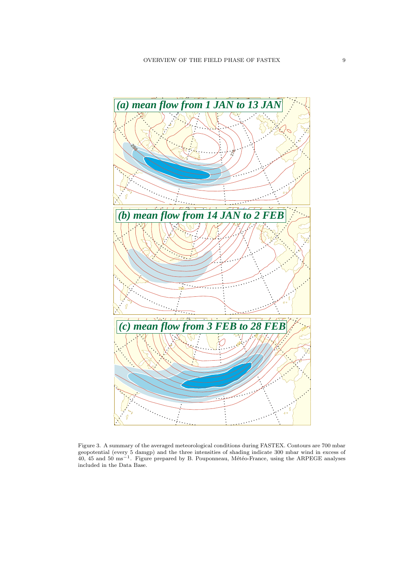

Figure 3. A summary of the averaged meteorological conditions during FASTEX. Contours are 700 mbar geopotential (every 5 damgp) and the three intensities of shading indicate 300 mbar wind in excess of 40, 45 and 50 ms−1. Figure prepared by B. Pouponneau, Météo-France, using the ARPEGE analyses included in the Data Base.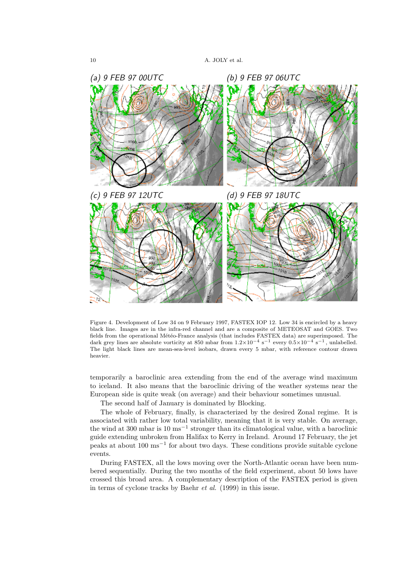

Figure 4. Development of Low 34 on 9 February 1997, FASTEX IOP 12. Low 34 is encircled by a heavy black line. Images are in the infra-red channel and are a composite of METEOSAT and GOES. Two fields from the operational Météo-France analysis (that includes FASTEX data) are superimposed. The dark grey lines are absolute vorticity at 850 mbar from  $1.2\times10^{-4}$  s<sup>-1</sup> every  $0.5\times10^{-4}$  s<sup>-1</sup>, unlabelled. The light black lines are mean-sea-level isobars, drawn every 5 mbar, with reference contour drawn heavier.

temporarily a baroclinic area extending from the end of the average wind maximum to iceland. It also means that the baroclinic driving of the weather systems near the European side is quite weak (on average) and their behaviour sometimes unusual.

The second half of January is dominated by Blocking.

The whole of February, finally, is characterized by the desired Zonal regime. It is associated with rather low total variability, meaning that it is very stable. On average, the wind at 300 mbar is 10 ms−<sup>1</sup> stronger than its climatological value, with a baroclinic guide extending unbroken from Halifax to Kerry in Ireland. Around 17 February, the jet peaks at about 100 ms−<sup>1</sup> for about two days. These conditions provide suitable cyclone events.

During FASTEX, all the lows moving over the North-Atlantic ocean have been numbered sequentially. During the two months of the field experiment, about 50 lows have crossed this broad area. A complementary description of the FASTEX period is given in terms of cyclone tracks by Baehr et al. (1999) in this issue.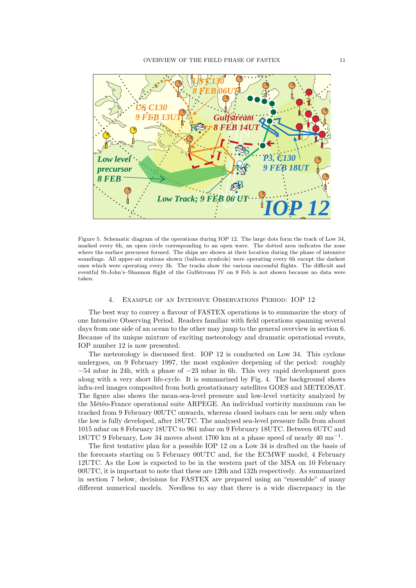

Figure 5. Schematic diagram of the operations during IOP 12. The large dots form the track of Low 34, marked every 6h, an open circle corresponding to an open wave. The dotted area indicates the zone where the surface precursor formed. The ships are shown at their location during the phase of intensive soundings. All upper-air stations shown (balloon symbols) were operating every 6h except the darkest ones which were operating every 3h. The tracks show the various successful flights. The difficult and eventful St-John's–Shannon flight of the Gulfstream IV on 9 Feb is not shown because no data were taken.

## 4. Example of an Intensive Observations Period: IOP 12

The best way to convey a flavour of FASTEX operations is to summarize the story of one Intensive Observing Period. Readers familiar with field operations spanning several days from one side of an ocean to the other may jump to the general overview in section 6. Because of its unique mixture of exciting meteorology and dramatic operational events, IOP number 12 is now presented.

The meteorology is discussed first. IOP 12 is conducted on Low 34. This cyclone undergoes, on 9 February 1997, the most explosive deepening of the period: roughly −54 mbar in 24h, with a phase of −23 mbar in 6h. This very rapid development goes along with a very short life-cycle. It is summarized by Fig. 4. The background shows infra-red images composited from both geostationary satellites GOES and METEOSAT. The figure also shows the mean-sea-level pressure and low-level vorticity analyzed by the Météo-France operational suite ARPEGE. An individual vorticity maximum can be tracked from 9 February 00UTC onwards, whereas closed isobars can be seen only when the low is fully developed, after 18UTC. The analysed sea-level pressure falls from about 1015 mbar on 8 February 18UTC to 961 mbar on 9 February 18UTC. Between 6UTC and 18UTC 9 February, Low 34 moves about 1700 km at a phase speed of nearly 40 ms−<sup>1</sup>.

The first tentative plan for a possible IOP 12 on a Low 34 is drafted on the basis of the forecasts starting on 5 February 00UTC and, for the ECMWF model, 4 February 12UTC. As the Low is expected to be in the western part of the MSA on 10 February 00UTC, it is important to note that these are 120h and 132h respectively. As summarized in section 7 below, decisions for FASTEX are prepared using an "ensemble" of many different numerical models. Needless to say that there is a wide discrepancy in the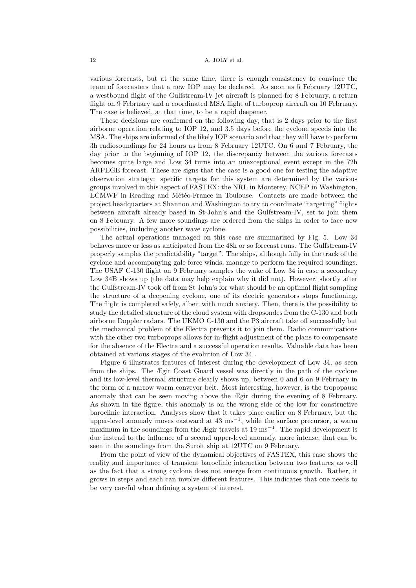various forecasts, but at the same time, there is enough consistency to convince the team of forecasters that a new IOP may be declared. As soon as 5 February 12UTC, a westbound flight of the Gulfstream-IV jet aircraft is planned for 8 February, a return flight on 9 February and a coordinated MSA flight of turboprop aircraft on 10 February. The case is believed, at that time, to be a rapid deepener.

These decisions are confirmed on the following day, that is 2 days prior to the first airborne operation relating to IOP 12, and 3.5 days before the cyclone speeds into the MSA. The ships are informed of the likely IOP scenario and that they will have to perform 3h radiosoundings for 24 hours as from 8 February 12UTC. On 6 and 7 February, the day prior to the beginning of IOP 12, the discrepancy between the various forecasts becomes quite large and Low 34 turns into an unexceptional event except in the 72h ARPEGE forecast. These are signs that the case is a good one for testing the adaptive observation strategy: specific targets for this system are determined by the various groups involved in this aspect of FASTEX: the NRL in Monterey, NCEP in Washington, ECMWF in Reading and Météo-France in Toulouse. Contacts are made between the project headquarters at Shannon and Washington to try to coordinate "targeting" flights between aircraft already based in St-John's and the Gulfstream-IV, set to join them on 8 February. A few more soundings are ordered from the ships in order to face new possibilities, including another wave cyclone.

The actual operations managed on this case are summarized by Fig. 5. Low 34 behaves more or less as anticipated from the 48h or so forecast runs. The Gulfstream-IV properly samples the predictability "target". The ships, although fully in the track of the cyclone and accompanying gale force winds, manage to perform the required soundings. The USAF C-130 flight on 9 February samples the wake of Low 34 in case a secondary Low 34B shows up (the data may help explain why it did not). However, shortly after the Gulfstream-IV took off from St John's for what should be an optimal flight sampling the structure of a deepening cyclone, one of its electric generators stops functioning. The flight is completed safely, albeit with much anxiety. Then, there is the possibility to study the detailed structure of the cloud system with dropsondes from the C-130 and both airborne Doppler radars. The UKMO C-130 and the P3 aircraft take off successfully but the mechanical problem of the Electra prevents it to join them. Radio communications with the other two turboprops allows for in-flight adjustment of the plans to compensate for the absence of the Electra and a successful operation results. Valuable data has been obtained at various stages of the evolution of Low 34 .

Figure 6 illustrates features of interest during the development of Low 34, as seen from the ships. The Ægir Coast Guard vessel was directly in the path of the cyclone and its low-level thermal structure clearly shows up, between 0 and 6 on 9 February in the form of a narrow warm conveyor belt. Most interesting, however, is the tropopause anomaly that can be seen moving above the Ægir during the evening of 8 February. As shown in the figure, this anomaly is on the wrong side of the low for constructive baroclinic interaction. Analyses show that it takes place earlier on 8 February, but the upper-level anomaly moves eastward at  $43 \text{ ms}^{-1}$ , while the surface precursor, a warm maximum in the soundings from the Ægir travels at  $19 \text{ ms}^{-1}$ . The rapid development is due instead to the influence of a second upper-level anomaly, more intense, that can be seen in the soundings from the Suroît ship at 12UTC on 9 February.

From the point of view of the dynamical objectives of FASTEX, this case shows the reality and importance of transient baroclinic interaction between two features as well as the fact that a strong cyclone does not emerge from continuous growth. Rather, it grows in steps and each can involve different features. This indicates that one needs to be very careful when defining a system of interest.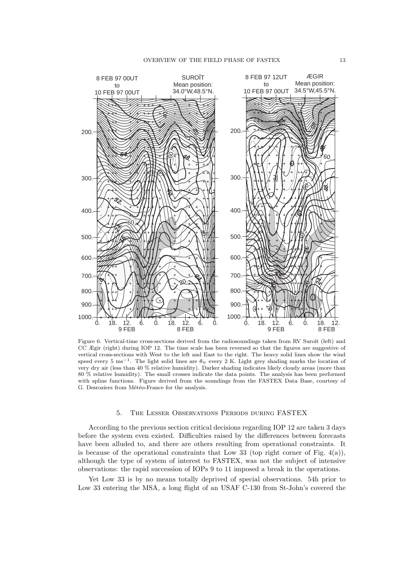

Figure 6. Vertical-time cross-sections derived from the radiosoundings taken from RV Suroît (left) and CC Ægir (right) during IOP 12. The time scale has been reversed so that the figures are suggestive of vertical cross-sections with West to the left and East to the right. The heavy solid lines show the wind speed every 5 ms<sup>-1</sup>. The light solid lines are  $\theta_w$  every 2 K. Light grey shading marks the location of very dry air (less than 40 % relative humidity). Darker shading indicates likely cloudy areas (more than 80 % relative humidity). The small crosses indicate the data points. The analysis has been performed with spline functions. Figure derived from the soundings from the FASTEX Data Base, courtesy of G. Desroziers from Météo-France for the analysis.

#### 5. The Lesser Observations Periods during FASTEX

According to the previous section critical decisions regarding IOP 12 are taken 3 days before the system even existed. Difficulties raised by the differences between forecasts have been alluded to, and there are others resulting from operational constraints. It is because of the operational constraints that Low 33 (top right corner of Fig.  $4(a)$ ), although the type of system of interest to FASTEX, was not the subject of intensive observations: the rapid succession of IOPs 9 to 11 imposed a break in the operations.

Yet Low 33 is by no means totally deprived of special observations. 54h prior to Low 33 entering the MSA, a long flight of an USAF C-130 from St-John's covered the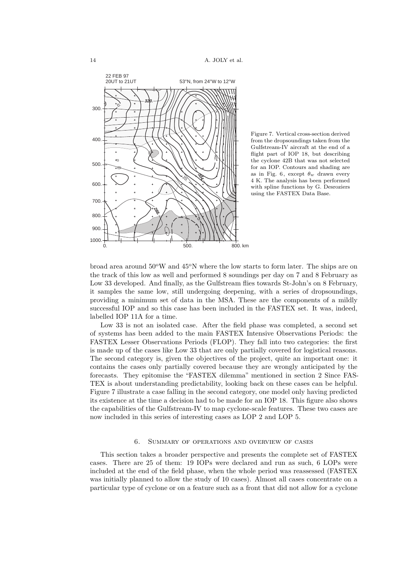

Figure 7. Vertical cross-section derived from the dropsoundings taken from the Gulfstream-IV aircraft at the end of a flight part of IOP 18, but describing the cyclone 42B that was not selected for an IOP. Contours and shading are as in Fig. 6, except  $\theta_w$  drawn every 4 K. The analysis has been performed with spline functions by G. Desroziers using the FASTEX Data Base.

broad area around  $50^{\circ}$ W and  $45^{\circ}$ N where the low starts to form later. The ships are on the track of this low as well and performed 8 soundings per day on 7 and 8 February as Low 33 developed. And finally, as the Gulfstream flies towards St-John's on 8 February, it samples the same low, still undergoing deepening, with a series of dropsoundings, providing a minimum set of data in the MSA. These are the components of a mildly successful IOP and so this case has been included in the FASTEX set. It was, indeed, labelled IOP 11A for a time.

Low 33 is not an isolated case. After the field phase was completed, a second set of systems has been added to the main FASTEX Intensive Observations Periods: the FASTEX Lesser Observations Periods (FLOP). They fall into two categories: the first is made up of the cases like Low 33 that are only partially covered for logistical reasons. The second category is, given the objectives of the project, quite an important one: it contains the cases only partially covered because they are wrongly anticipated by the forecasts. They epitomise the "FASTEX dilemma" mentioned in section 2 Since FAS-TEX is about understanding predictability, looking back on these cases can be helpful. Figure 7 illustrate a case falling in the second category, one model only having predicted its existence at the time a decision had to be made for an IOP 18. This figure also shows the capabilities of the Gulfstream-IV to map cyclone-scale features. These two cases are now included in this series of interesting cases as LOP 2 and LOP 5.

## 6. Summary of operations and overview of cases

This section takes a broader perspective and presents the complete set of FASTEX cases. There are 25 of them: 19 IOPs were declared and run as such, 6 LOPs were included at the end of the field phase, when the whole period was reassessed (FASTEX was initially planned to allow the study of 10 cases). Almost all cases concentrate on a particular type of cyclone or on a feature such as a front that did not allow for a cyclone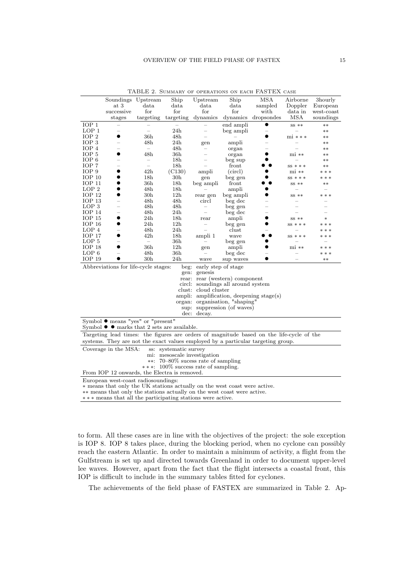|                                                                                          | Soundings                                                                 | Upstream                 | Ship                              | Upstream                 | Ship                               | MSA                                                                              | Airborne       | 3hourly    |  |  |  |  |  |
|------------------------------------------------------------------------------------------|---------------------------------------------------------------------------|--------------------------|-----------------------------------|--------------------------|------------------------------------|----------------------------------------------------------------------------------|----------------|------------|--|--|--|--|--|
|                                                                                          | at 3                                                                      | $_{\rm data}$            | $_{\rm data}$                     | $_{\rm data}$            | $_{\rm data}$                      | sampled                                                                          | Doppler        | European   |  |  |  |  |  |
|                                                                                          | successive                                                                | for                      | for                               | for                      | for                                | with                                                                             | data in        | west-coast |  |  |  |  |  |
|                                                                                          | stages                                                                    | targeting                | targeting                         | dynamics                 | dynamics                           | dropsondes                                                                       | MSA            | soundings  |  |  |  |  |  |
| IOP <sub>1</sub>                                                                         |                                                                           |                          |                                   |                          | end ampli                          | $\bullet$                                                                        | $SS$ **        | $***$      |  |  |  |  |  |
| LOP <sub>1</sub>                                                                         |                                                                           | $\equiv$                 | 24h                               | Ξ.                       | beg ampli                          |                                                                                  |                | $***$      |  |  |  |  |  |
| IOP <sub>2</sub>                                                                         |                                                                           | 36h                      | 48h                               | $\overline{\phantom{0}}$ |                                    | $\bullet$                                                                        | $mi$ * * *     | $***$      |  |  |  |  |  |
| IOP <sub>3</sub>                                                                         |                                                                           | 48h                      | 24h                               | gen                      | ampli                              |                                                                                  |                | $***$      |  |  |  |  |  |
| IOP 4                                                                                    |                                                                           | $\overline{\phantom{0}}$ | 48h                               | $\overline{\phantom{0}}$ | organ                              |                                                                                  |                | **         |  |  |  |  |  |
| IOP <sub>5</sub>                                                                         |                                                                           | 48h                      | 36h                               |                          | organ                              | $\bullet$                                                                        | $\text{mi}$ ** | $***$      |  |  |  |  |  |
| $IOP_6$                                                                                  |                                                                           | $\overline{\phantom{m}}$ | 18 <sub>h</sub>                   | $\equiv$                 | beg sup                            |                                                                                  |                | $***$      |  |  |  |  |  |
| IOP 7                                                                                    |                                                                           | $\overline{\phantom{0}}$ | 18 <sub>h</sub>                   |                          | front                              | . .                                                                              | $SS$ * * *     | **         |  |  |  |  |  |
| IOP 9                                                                                    |                                                                           | 42h                      | (C130)                            | ampli                    | (circl)                            | $\bullet$                                                                        | $\min$ **      | * * *      |  |  |  |  |  |
| <b>IOP 10</b>                                                                            |                                                                           | 18h                      | 30 <sub>h</sub>                   | gen                      | beg gen                            |                                                                                  | $SS$ * * *     | * * *      |  |  |  |  |  |
| IOP 11                                                                                   |                                                                           | 36h                      | 18 <sub>h</sub>                   | beg ampli                | front                              | $\bullet$                                                                        | $SS$ **        | **         |  |  |  |  |  |
| LOP <sub>2</sub>                                                                         |                                                                           | 48h                      | 18 <sub>h</sub>                   |                          | ampli                              | 0                                                                                |                |            |  |  |  |  |  |
| IOP <sub>12</sub>                                                                        |                                                                           | 30h                      | 12 <sub>h</sub>                   | rear gen                 | beg ampli                          |                                                                                  | $SS$ **        | * * *      |  |  |  |  |  |
| IOP <sub>13</sub>                                                                        |                                                                           | 48h                      | 48h                               | circl                    | beg dec                            |                                                                                  |                |            |  |  |  |  |  |
| LOP <sub>3</sub>                                                                         |                                                                           | 48h                      | 48h                               |                          | beg gen                            |                                                                                  |                |            |  |  |  |  |  |
| IOP <sub>14</sub>                                                                        |                                                                           | 48h                      | 24h                               |                          | beg dec                            |                                                                                  |                |            |  |  |  |  |  |
| IOP <sub>15</sub>                                                                        |                                                                           | 24h                      | 18 <sub>h</sub>                   | rear                     | ampli                              | $\bullet$                                                                        | $SS$ **        | $\ast$     |  |  |  |  |  |
| IOP <sub>16</sub>                                                                        |                                                                           | 24h                      | 12h                               | $\overline{\phantom{0}}$ | beg gen                            | $\bullet$                                                                        | $SS$ * * *     | * * *      |  |  |  |  |  |
| LOP 4                                                                                    |                                                                           | 48h                      | 24h                               |                          | clust                              |                                                                                  |                | * * *      |  |  |  |  |  |
| IOP <sub>17</sub>                                                                        |                                                                           | 42h                      | 18 <sub>h</sub>                   | ampli 1                  | wave                               |                                                                                  | $SS$ * * *     | * * *      |  |  |  |  |  |
| LOP <sub>5</sub>                                                                         |                                                                           | $\frac{1}{2}$            | 36h                               |                          | beg gen                            |                                                                                  |                |            |  |  |  |  |  |
| IOP 18                                                                                   |                                                                           | 36h                      | 12 <sub>h</sub>                   | gen                      | ampli                              |                                                                                  | $m1$ **        | * * *      |  |  |  |  |  |
| LOP <sub>6</sub>                                                                         |                                                                           | 48h                      | 36h                               | $-$                      | beg dec                            |                                                                                  |                | * * *      |  |  |  |  |  |
| IOP 19<br>30 <sub>h</sub><br>24h<br>●<br>wave<br>sup waves<br>$***$                      |                                                                           |                          |                                   |                          |                                    |                                                                                  |                |            |  |  |  |  |  |
|                                                                                          | Abbreviations for life-cycle stages:<br>beg:<br>early step of stage       |                          |                                   |                          |                                    |                                                                                  |                |            |  |  |  |  |  |
|                                                                                          | gen:<br>genesis                                                           |                          |                                   |                          |                                    |                                                                                  |                |            |  |  |  |  |  |
|                                                                                          |                                                                           |                          |                                   |                          | rear: rear (western) component     |                                                                                  |                |            |  |  |  |  |  |
|                                                                                          |                                                                           |                          |                                   |                          | circl: soundings all around system |                                                                                  |                |            |  |  |  |  |  |
|                                                                                          |                                                                           |                          |                                   | clust: cloud cluster     |                                    |                                                                                  |                |            |  |  |  |  |  |
|                                                                                          |                                                                           |                          | ampli:                            |                          |                                    |                                                                                  |                |            |  |  |  |  |  |
|                                                                                          |                                                                           |                          |                                   |                          |                                    | amplification, deepening stage(s)                                                |                |            |  |  |  |  |  |
|                                                                                          |                                                                           |                          |                                   |                          | organ: organisation, "shaping"     |                                                                                  |                |            |  |  |  |  |  |
|                                                                                          |                                                                           |                          | sup:<br>dec:                      |                          | suppression (of waves)             |                                                                                  |                |            |  |  |  |  |  |
|                                                                                          |                                                                           |                          |                                   | decay.                   |                                    |                                                                                  |                |            |  |  |  |  |  |
| Symbol ● means "yes" or "present"                                                        |                                                                           |                          |                                   |                          |                                    |                                                                                  |                |            |  |  |  |  |  |
| Symbol $\bullet$ $\bullet$ marks that 2 sets are available.                              |                                                                           |                          |                                   |                          |                                    |                                                                                  |                |            |  |  |  |  |  |
| Targeting lead times: the figures are orders of magnitude based on the life-cycle of the |                                                                           |                          |                                   |                          |                                    |                                                                                  |                |            |  |  |  |  |  |
|                                                                                          |                                                                           |                          |                                   |                          |                                    | systems. They are not the exact values employed by a particular targeting group. |                |            |  |  |  |  |  |
|                                                                                          |                                                                           |                          |                                   |                          |                                    |                                                                                  |                |            |  |  |  |  |  |
|                                                                                          | Coverage in the MSA:                                                      |                          | ss: systematic survey             |                          |                                    |                                                                                  |                |            |  |  |  |  |  |
|                                                                                          | mi: mesoscale investigation<br>$70-80\%$ sucess rate of sampling          |                          |                                   |                          |                                    |                                                                                  |                |            |  |  |  |  |  |
|                                                                                          |                                                                           | $***$ :                  |                                   |                          |                                    |                                                                                  |                |            |  |  |  |  |  |
|                                                                                          |                                                                           | * * *:                   | $100\%$ success rate of sampling. |                          |                                    |                                                                                  |                |            |  |  |  |  |  |
|                                                                                          | From IOP 12 onwards, the Electra is removed.                              |                          |                                   |                          |                                    |                                                                                  |                |            |  |  |  |  |  |
|                                                                                          | European west-coast radiosoundings:                                       |                          |                                   |                          |                                    |                                                                                  |                |            |  |  |  |  |  |
|                                                                                          | * means that only the UK stations actually on the west coast were active. |                          |                                   |                          |                                    |                                                                                  |                |            |  |  |  |  |  |
|                                                                                          | ** means that only the stations actually on the west coast were active.   |                          |                                   |                          |                                    |                                                                                  |                |            |  |  |  |  |  |
|                                                                                          | *** means that all the participating stations were active.                |                          |                                   |                          |                                    |                                                                                  |                |            |  |  |  |  |  |

TABLE 2. Summary of operations on each FASTEX case

to form. All these cases are in line with the objectives of the project: the sole exception is IOP 8. IOP 8 takes place, during the blocking period, when no cyclone can possibly reach the eastern Atlantic. In order to maintain a minimum of activity, a flight from the Gulfstream is set up and directed towards Greenland in order to document upper-level lee waves. However, apart from the fact that the flight intersects a coastal front, this IOP is difficult to include in the summary tables fitted for cyclones.

The achievements of the field phase of FASTEX are summarized in Table 2. Ap-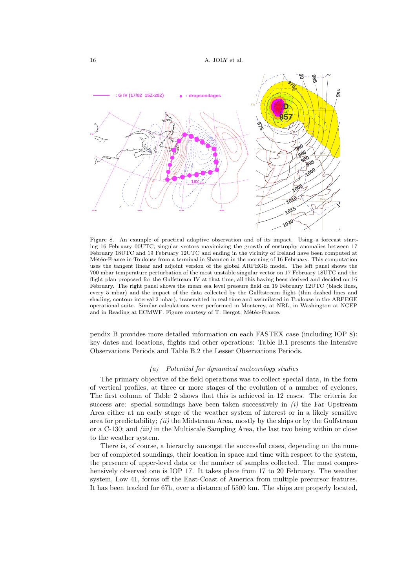

Figure 8. An example of practical adaptive observation and of its impact. Using a forecast starting 16 February 00UTC, singular vectors maximizing the growth of enstrophy anomalies between 17 February 18UTC and 19 February 12UTC and ending in the vicinity of Ireland have been computed at Météo-France in Toulouse from a terminal in Shannon in the morning of 16 February. This computation uses the tangent linear and adjoint version of the global ARPEGE model. The left panel shows the 700 mbar temperature perturbation of the most unstable singular vector on 17 February 18UTC and the flight plan proposed for the Gulfstream IV at that time, all this having been derived and decided on 16 February. The right panel shows the mean sea level pressure field on 19 February 12UTC (black lines, every 5 mbar) and the impact of the data collected by the Gulftstream flight (thin dashed lines and shading, contour interval 2 mbar), transmitted in real time and assimilated in Toulouse in the ARPEGE operational suite. Similar calculations were performed in Monterey, at NRL, in Washington at NCEP and in Reading at ECMWF. Figure courtesy of T. Bergot, Météo-France.

pendix B provides more detailed information on each FASTEX case (including IOP 8): key dates and locations, flights and other operations: Table B.1 presents the Intensive Observations Periods and Table B.2 the Lesser Observations Periods.

# (a) Potential for dynamical meteorology studies

The primary objective of the field operations was to collect special data, in the form of vertical profiles, at three or more stages of the evolution of a number of cyclones. The first column of Table 2 shows that this is achieved in 12 cases. The criteria for success are: special soundings have been taken successively in  $(i)$  the Far Upstream Area either at an early stage of the weather system of interest or in a likely sensitive area for predictability;  $(ii)$  the Midstream Area, mostly by the ships or by the Gulfstream or a C-130; and (iii) in the Multiscale Sampling Area, the last two being within or close to the weather system.

There is, of course, a hierarchy amongst the successful cases, depending on the number of completed soundings, their location in space and time with respect to the system, the presence of upper-level data or the number of samples collected. The most comprehensively observed one is IOP 17. It takes place from 17 to 20 February. The weather system, Low 41, forms off the East-Coast of America from multiple precursor features. It has been tracked for 67h, over a distance of 5500 km. The ships are properly located,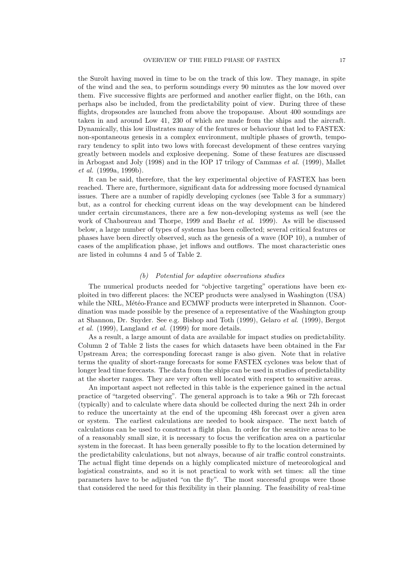the Suroît having moved in time to be on the track of this low. They manage, in spite of the wind and the sea, to perform soundings every 90 minutes as the low moved over them. Five successive flights are performed and another earlier flight, on the 16th, can perhaps also be included, from the predictability point of view. During three of these flights, dropsondes are launched from above the tropopause. About 400 soundings are taken in and around Low 41, 230 of which are made from the ships and the aircraft. Dynamically, this low illustrates many of the features or behaviour that led to FASTEX: non-spontaneous genesis in a complex environment, multiple phases of growth, temporary tendency to split into two lows with forecast development of these centres varying greatly between models and explosive deepening. Some of these features are discussed in Arbogast and Joly (1998) and in the IOP 17 trilogy of Cammas et al. (1999), Mallet et al. (1999a, 1999b).

It can be said, therefore, that the key experimental objective of FASTEX has been reached. There are, furthermore, significant data for addressing more focused dynamical issues. There are a number of rapidly developing cyclones (see Table 3 for a summary) but, as a control for checking current ideas on the way development can be hindered under certain circumstances, there are a few non-developing systems as well (see the work of Chaboureau and Thorpe, 1999 and Baehr et al. 1999). As will be discussed below, a large number of types of systems has been collected; several critical features or phases have been directly observed, such as the genesis of a wave (IOP 10), a number of cases of the amplification phase, jet inflows and outflows. The most characteristic ones are listed in columns 4 and 5 of Table 2.

# (b) Potential for adaptive observations studies

The numerical products needed for "objective targeting" operations have been exploited in two different places: the NCEP products were analysed in Washington (USA) while the NRL, Météo-France and ECMWF products were interpreted in Shannon. Coordination was made possible by the presence of a representative of the Washington group at Shannon, Dr. Snyder. See e.g. Bishop and Toth (1999), Gelaro et al. (1999), Bergot et al. (1999), Langland et al. (1999) for more details.

As a result, a large amount of data are available for impact studies on predictability. Column 2 of Table 2 lists the cases for which datasets have been obtained in the Far Upstream Area; the corresponding forecast range is also given. Note that in relative terms the quality of short-range forecasts for some FASTEX cyclones was below that of longer lead time forecasts. The data from the ships can be used in studies of predictability at the shorter ranges. They are very often well located with respect to sensitive areas.

An important aspect not reflected in this table is the experience gained in the actual practice of "targeted observing". The general approach is to take a 96h or 72h forecast (typically) and to calculate where data should be collected during the next 24h in order to reduce the uncertainty at the end of the upcoming 48h forecast over a given area or system. The earliest calculations are needed to book airspace. The next batch of calculations can be used to construct a flight plan. In order for the sensitive areas to be of a reasonably small size, it is necessary to focus the verification area on a particular system in the forecast. It has been generally possible to fly to the location determined by the predictability calculations, but not always, because of air traffic control constraints. The actual flight time depends on a highly complicated mixture of meteorological and logistical constraints, and so it is not practical to work with set times: all the time parameters have to be adjusted "on the fly". The most successful groups were those that considered the need for this flexibility in their planning. The feasibility of real-time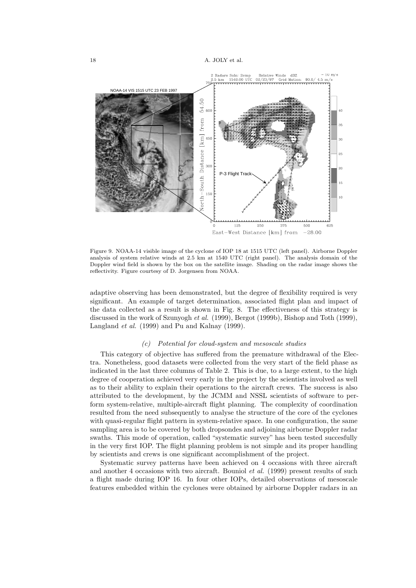

Figure 9. NOAA-14 visible image of the cyclone of IOP 18 at 1515 UTC (left panel). Airborne Doppler analysis of system relative winds at 2.5 km at 1540 UTC (right panel). The analysis domain of the Doppler wind field is shown by the box on the satellite image. Shading on the radar image shows the reflectivity. Figure courtesy of D. Jorgensen from NOAA.

adaptive observing has been demonstrated, but the degree of flexibility required is very significant. An example of target determination, associated flight plan and impact of the data collected as a result is shown in Fig. 8. The effectiveness of this strategy is discussed in the work of Szunyogh *et al.* (1999), Bergot (1999b), Bishop and Toth (1999), Langland *et al.* (1999) and Pu and Kalnay (1999).

# (c) Potential for cloud-system and mesoscale studies

This category of objective has suffered from the premature withdrawal of the Electra. Nonetheless, good datasets were collected from the very start of the field phase as indicated in the last three columns of Table 2. This is due, to a large extent, to the high degree of cooperation achieved very early in the project by the scientists involved as well as to their ability to explain their operations to the aircraft crews. The success is also attributed to the development, by the JCMM and NSSL scientists of software to perform system-relative, multiple-aircraft flight planning. The complexity of coordination resulted from the need subsequently to analyse the structure of the core of the cyclones with quasi-regular flight pattern in system-relative space. In one configuration, the same sampling area is to be covered by both dropsondes and adjoining airborne Doppler radar swaths. This mode of operation, called "systematic survey" has been tested succesfully in the very first IOP. The flight planning problem is not simple and its proper handling by scientists and crews is one significant accomplishment of the project.

Systematic survey patterns have been achieved on 4 occasions with three aircraft and another 4 occasions with two aircraft. Bouniol et al. (1999) present results of such a flight made during IOP 16. In four other IOPs, detailed observations of mesoscale features embedded within the cyclones were obtained by airborne Doppler radars in an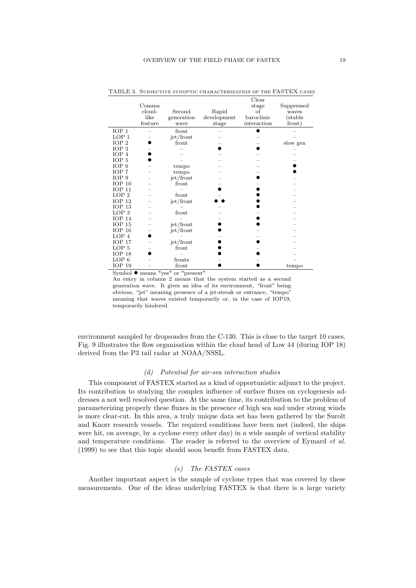|                   |         |            |             | Clear       |            |
|-------------------|---------|------------|-------------|-------------|------------|
|                   | Comma   |            |             | stage       | Suppressed |
|                   | cloud-  | Second     | Rapid       | οf          | waves      |
|                   | like    | generation | development | baroclinic  | (stable    |
|                   | feature | wave       | stage       | interaction | front)     |
| IOP <sub>1</sub>  |         | front      |             |             |            |
| LOP <sub>1</sub>  |         | jet/front  |             |             |            |
| IOP <sub>2</sub>  |         | front      |             |             | slow gen   |
| IOP 3             |         |            |             |             |            |
| IOP <sub>4</sub>  |         |            |             |             |            |
| IOP <sub>5</sub>  |         |            |             |             |            |
| IOP <sub>6</sub>  |         | tempo      |             |             |            |
| IOP 7             |         | tempo      |             |             |            |
| IOP <sub>9</sub>  |         | jet/front  |             |             |            |
| $IOP_10$          |         | front      |             |             |            |
| IOP <sub>11</sub> |         |            |             |             |            |
| LOP <sub>2</sub>  |         | front      |             |             |            |
| IOP <sub>12</sub> |         | jet/front  |             |             |            |
| IOP <sub>13</sub> |         |            |             |             |            |
| LOP <sub>3</sub>  |         | front      |             |             |            |
| IOP <sub>14</sub> |         |            |             |             |            |
| IOP <sub>15</sub> |         | jet/front  |             |             |            |
| $IOP_16$          |         | jet/front  |             |             |            |
| LOP 4             |         |            |             |             |            |
| IOP <sub>17</sub> |         | jet/front  |             |             |            |
| LOP <sub>5</sub>  |         | front      |             |             |            |
| IOP 18            |         |            |             |             |            |
| LOP <sub>6</sub>  |         | fronts     |             |             |            |
| IOP <sub>19</sub> |         | front      |             |             | tempo      |

TABLE 3. Subjective synoptic characterization of the FASTEX cases

Symbol  $\bullet$  means "yes" or "present"<br>An entry in column 2 means that

An entry in column 2 means that the system started as a second generation wave. It gives an idea of its environment, "front" being obvious, "jet" meaning presence of a jet-streak or entrance, "tempo" meaning that waves existed temporarily or, in the case of IOP19, temporarily hindered.

environment sampled by dropsondes from the C-130. This is close to the target 10 cases. Fig. 9 illustrates the flow organisation within the cloud head of Low 44 (during IOP 18) derived from the P3 tail radar at NOAA/NSSL.

## (d) Potential for air-sea interaction studies

This component of FASTEX started as a kind of opportunistic adjunct to the project. Its contribution to studying the complex influence of surface fluxes on cyclogenesis addresses a not well resolved question. At the same time, its contribution to the problem of parameterizing properly these fluxes in the presence of high sea and under strong winds is more clear-cut. In this area, a truly unique data set has been gathered by the Suroît and Knorr research vessels. The required conditions have been met (indeed, the ships were hit, on average, by a cyclone every other day) in a wide sample of vertical stability and temperature conditions. The reader is referred to the overview of Eymard et al. (1999) to see that this topic should soon benefit from FASTEX data.

#### (e) The FASTEX cases

Another important aspect is the sample of cyclone types that was covered by these measurements. One of the ideas underlying FASTEX is that there is a large variety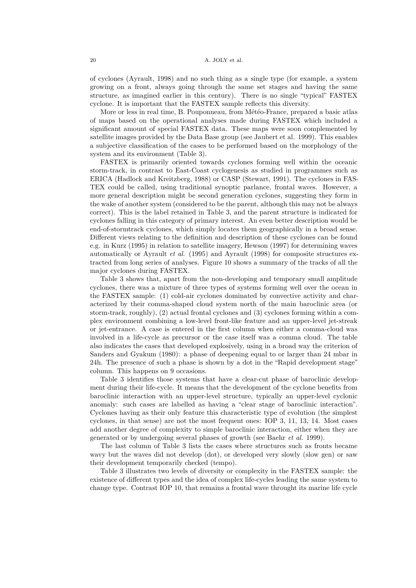of cyclones (Ayrault, 1998) and no such thing as a single type (for example, a system growing on a front, always going through the same set stages and having the same structure, as imagined earlier in this century). There is no single "typical" FASTEX cyclone. It is important that the FASTEX sample reflects this diversity.

More or less in real time, B. Pouponneau, from Météo-France, prepared a basic atlas of maps based on the operational analyses made during FASTEX which included a significant amount of special FASTEX data. These maps were soon complemented by satellite images provided by the Data Base group (see Jaubert et al. 1999). This enables a subjective classification of the cases to be performed based on the morphology of the system and its environment (Table 3).

FASTEX is primarily oriented towards cyclones forming well within the oceanic storm-track, in contrast to East-Coast cyclogenesis as studied in programmes such as ERICA (Hadlock and Kreitzberg, 1988) or CASP (Stewart, 1991). The cyclones in FAS-TEX could be called, using traditional synoptic parlance, frontal waves. However, a more general description might be second generation cyclones, suggesting they form in the wake of another system (considered to be the parent, although this may not be always correct). This is the label retained in Table 3, and the parent structure is indicated for cyclones falling in this category of primary interest. An even better description would be end-of-stormtrack cyclones, which simply locates them geographically in a broad sense. Different views relating to the definition and description of these cyclones can be found e.g. in Kurz (1995) in relation to satellite imagery, Hewson (1997) for determining waves automatically or Ayrault et al.  $(1995)$  and Ayrault  $(1998)$  for composite structures extracted from long series of analyses. Figure 10 shows a summary of the tracks of all the major cyclones during FASTEX.

Table 3 shows that, apart from the non-developing and temporary small amplitude cyclones, there was a mixture of three types of systems forming well over the ocean in the FASTEX sample: (1) cold-air cyclones dominated by convective activity and characterized by their comma-shaped cloud system north of the main baroclinic area (or storm-track, roughly), (2) actual frontal cyclones and (3) cyclones forming within a complex environment combining a low-level front-like feature and an upper-level jet-streak or jet-entrance. A case is entered in the first column when either a comma-cloud was involved in a life-cycle as precursor or the case itself was a comma cloud. The table also indicates the cases that developed explosively, using in a broad way the criterion of Sanders and Gyakum (1980): a phase of deepening equal to or larger than 24 mbar in 24h. The presence of such a phase is shown by a dot in the "Rapid development stage" column. This happens on 9 occasions.

Table 3 identifies those systems that have a clear-cut phase of baroclinic development during their life-cycle. It means that the development of the cyclone benefits from baroclinic interaction with an upper-level structure, typically an upper-level cyclonic anomaly: such cases are labelled as having a "clear stage of baroclinic interaction". Cyclones having as their only feature this characteristic type of evolution (the simplest cyclones, in that sense) are not the most frequent ones: IOP 3, 11, 13, 14. Most cases add another degree of complexity to simple baroclinic interaction, either when they are generated or by undergoing several phases of growth (see Baehr et al. 1999).

The last column of Table 3 lists the cases where structures such as fronts became wavy but the waves did not develop (dot), or developed very slowly (slow gen) or saw their development temporarily checked (tempo).

Table 3 illustrates two levels of diversity or complexity in the FASTEX sample: the existence of different types and the idea of complex life-cycles leading the same system to change type. Contrast IOP 10, that remains a frontal wave throught its marine life cycle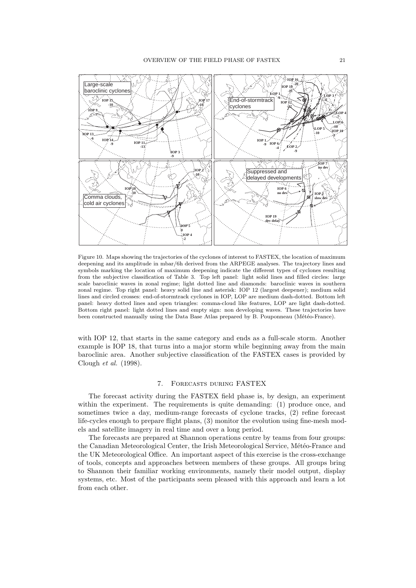

Figure 10. Maps showing the trajectories of the cyclones of interest to FASTEX, the location of maximum deepening and its amplitude in mbar/6h derived from the ARPEGE analyses. The trajectory lines and symbols marking the location of maximum deepening indicate the different types of cyclones resulting from the subjective classification of Table 3. Top left panel: light solid lines and filled circles: large scale baroclinic waves in zonal regime; light dotted line and diamonds: baroclinic waves in southern zonal regime. Top right panel: heavy solid line and asterisk: IOP 12 (largest deepener); medium solid lines and circled crosses: end-of-stormtrack cyclones in IOP, LOP are medium dash-dotted. Bottom left panel: heavy dotted lines and open triangles: comma-cloud like features, LOP are light dash-dotted. Bottom right panel: light dotted lines and empty sign: non developing waves. These trajectories have been constructed manually using the Data Base Atlas prepared by B. Pouponneau (Météo-France).

with IOP 12, that starts in the same category and ends as a full-scale storm. Another example is IOP 18, that turns into a major storm while beginning away from the main baroclinic area. Another subjective classification of the FASTEX cases is provided by Clough et al. (1998).

# 7. Forecasts during FASTEX

The forecast activity during the FASTEX field phase is, by design, an experiment within the experiment. The requirements is quite demanding: (1) produce once, and sometimes twice a day, medium-range forecasts of cyclone tracks, (2) refine forecast life-cycles enough to prepare flight plans, (3) monitor the evolution using fine-mesh models and satellite imagery in real time and over a long period.

The forecasts are prepared at Shannon operations centre by teams from four groups: the Canadian Meteorological Center, the Irish Meteorological Service, Météo-France and the UK Meteorological Office. An important aspect of this exercise is the cross-exchange of tools, concepts and approaches between members of these groups. All groups bring to Shannon their familiar working environments, namely their model output, display systems, etc. Most of the participants seem pleased with this approach and learn a lot from each other.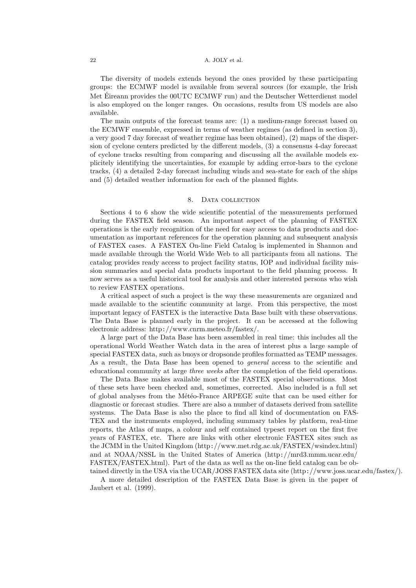#### 22 A. JOLY et al.

The diversity of models extends beyond the ones provided by these participating groups: the ECMWF model is available from several sources (for example, the Irish Met Éireann provides the 00UTC ECMWF run) and the Deutscher Wetterdienst model is also employed on the longer ranges. On occasions, results from US models are also available.

The main outputs of the forecast teams are: (1) a medium-range forecast based on the ECMWF ensemble, expressed in terms of weather regimes (as defined in section 3), a very good 7 day forecast of weather regime has been obtained), (2) maps of the dispersion of cyclone centers predicted by the different models, (3) a consensus 4-day forecast of cyclone tracks resulting from comparing and discussing all the available models explicitely identifying the uncertainties, for example by adding error-bars to the cyclone tracks, (4) a detailed 2-day forecast including winds and sea-state for each of the ships and (5) detailed weather information for each of the planned flights.

## 8. DATA COLLECTION

Sections 4 to 6 show the wide scientific potential of the measurements performed during the FASTEX field season. An important aspect of the planning of FASTEX operations is the early recognition of the need for easy access to data products and documentation as important references for the operation planning and subsequent analysis of FASTEX cases. A FASTEX On-line Field Catalog is implemented in Shannon and made available through the World Wide Web to all participants from all nations. The catalog provides ready access to project facility status, IOP and individual facility mission summaries and special data products important to the field planning process. It now serves as a useful historical tool for analysis and other interested persons who wish to review FASTEX operations.

A critical aspect of such a project is the way these measurements are organized and made available to the scientific community at large. From this perspective, the most important legacy of FASTEX is the interactive Data Base built with these observations. The Data Base is planned early in the project. It can be accessed at the following electronic address: http://www.cnrm.meteo.fr/fastex/.

A large part of the Data Base has been assembled in real time: this includes all the operational World Weather Watch data in the area of interest plus a large sample of special FASTEX data, such as buoys or dropsonde profiles formatted as TEMP messages. As a result, the Data Base has been opened to general access to the scientific and educational community at large *three weeks* after the completion of the field operations.

The Data Base makes available most of the FASTEX special observations. Most of these sets have been checked and, sometimes, corrected. Also included is a full set of global analyses from the Météo-France ARPEGE suite that can be used either for diagnostic or forecast studies. There are also a number of datasets derived from satellite systems. The Data Base is also the place to find all kind of documentation on FAS-TEX and the instruments employed, including summary tables by platform, real-time reports, the Atlas of maps, a colour and self contained typeset report on the first five years of FASTEX, etc. There are links with other electronic FASTEX sites such as the JCMM in the United Kingdom (http://www.met.rdg.ac.uk/FASTEX/wsindex.html) and at NOAA/NSSL in the United States of America (http://mrd3.mmm.ucar.edu/ FASTEX/FASTEX.html). Part of the data as well as the on-line field catalog can be obtained directly in the USA via the UCAR/JOSS FASTEX data site (http://www.joss.ucar.edu/fastex/).

A more detailed description of the FASTEX Data Base is given in the paper of Jaubert et al. (1999).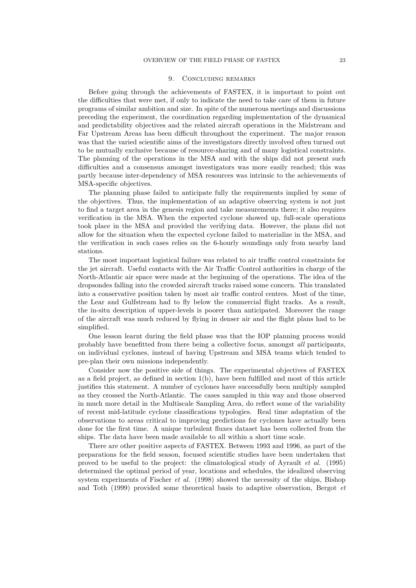## OVERVIEW OF THE FIELD PHASE OF FASTEX 23

#### 9. Concluding remarks

Before going through the achievements of FASTEX, it is important to point out the difficulties that were met, if only to indicate the need to take care of them in future programs of similar ambition and size. In spite of the numerous meetings and discussions preceding the experiment, the coordination regarding implementation of the dynamical and predictability objectives and the related aircraft operations in the Midstream and Far Upstream Areas has been difficult throughout the experiment. The major reason was that the varied scientific aims of the investigators directly involved often turned out to be mutually exclusive because of resource-sharing and of many logistical constraints. The planning of the operations in the MSA and with the ships did not present such difficulties and a consensus amongst investigators was more easily reached; this was partly because inter-dependency of MSA resources was intrinsic to the achievements of MSA-specific objectives.

The planning phase failed to anticipate fully the requirements implied by some of the objectives. Thus, the implementation of an adaptive observing system is not just to find a target area in the genesis region and take measurements there; it also requires verification in the MSA. When the expected cyclone showed up, full-scale operations took place in the MSA and provided the verifying data. However, the plans did not allow for the situation when the expected cyclone failed to materialize in the MSA, and the verification in such cases relies on the 6-hourly soundings only from nearby land stations.

The most important logistical failure was related to air traffic control constraints for the jet aircraft. Useful contacts with the Air Traffic Control authorities in charge of the North-Atlantic air space were made at the beginning of the operations. The idea of the dropsondes falling into the crowded aircraft tracks raised some concern. This translated into a conservative position taken by most air traffic control centres. Most of the time, the Lear and Gulfstream had to fly below the commercial flight tracks. As a result, the in-situ description of upper-levels is poorer than anticipated. Moreover the range of the aircraft was much reduced by flying in denser air and the flight plans had to be simplified.

One lesson learnt during the field phase was that the IOP planning process would probably have benefitted from there being a collective focus, amongst all participants, on individual cyclones, instead of having Upstream and MSA teams which tended to pre-plan their own missions independently.

Consider now the positive side of things. The experimental objectives of FASTEX as a field project, as defined in section 1(b), have been fulfilled and most of this article justifies this statement. A number of cyclones have successfully been multiply sampled as they crossed the North-Atlantic. The cases sampled in this way and those observed in much more detail in the Multiscale Sampling Area, do reflect some of the variability of recent mid-latitude cyclone classifications typologies. Real time adaptation of the observations to areas critical to improving predictions for cyclones have actually been done for the first time. A unique turbulent fluxes dataset has been collected from the ships. The data have been made available to all within a short time scale.

There are other positive aspects of FASTEX. Between 1993 and 1996, as part of the preparations for the field season, focused scientific studies have been undertaken that proved to be useful to the project: the climatological study of Ayrault et al. (1995) determined the optimal period of year, locations and schedules, the idealized observing system experiments of Fischer *et al.* (1998) showed the necessity of the ships, Bishop and Toth (1999) provided some theoretical basis to adaptive observation, Bergot et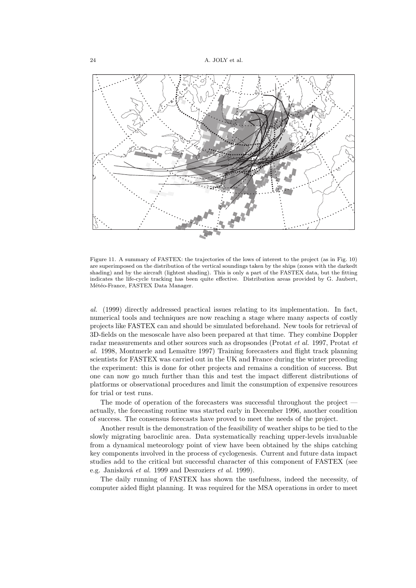

Figure 11. A summary of FASTEX: the trajectories of the lows of interest to the project (as in Fig. 10) are superimposed on the distribution of the vertical soundings taken by the ships (zones with the darkedt shading) and by the aircraft (lightest shading). This is only a part of the FASTEX data, but the fitting indicates the life-cycle tracking has been quite effective. Distribution areas provided by G. Jaubert, Météo-France, FASTEX Data Manager.

al. (1999) directly addressed practical issues relating to its implementation. In fact, numerical tools and techniques are now reaching a stage where many aspects of costly projects like FASTEX can and should be simulated beforehand. New tools for retrieval of 3D-fields on the mesoscale have also been prepared at that time. They combine Doppler radar measurements and other sources such as dropsondes (Protat et al. 1997, Protat et al. 1998, Montmerle and Lemaître 1997) Training forecasters and flight track planning scientists for FASTEX was carried out in the UK and France during the winter preceding the experiment: this is done for other projects and remains a condition of success. But one can now go much further than this and test the impact different distributions of platforms or observational procedures and limit the consumption of expensive resources for trial or test runs.

The mode of operation of the forecasters was successful throughout the project actually, the forecasting routine was started early in December 1996, another condition of success. The consensus forecasts have proved to meet the needs of the project.

Another result is the demonstration of the feasibility of weather ships to be tied to the slowly migrating baroclinic area. Data systematically reaching upper-levels invaluable from a dynamical meteorology point of view have been obtained by the ships catching key components involved in the process of cyclogenesis. Current and future data impact studies add to the critical but successful character of this component of FASTEX (see e.g. Janisková et al. 1999 and Desroziers et al. 1999).

The daily running of FASTEX has shown the usefulness, indeed the necessity, of computer aided flight planning. It was required for the MSA operations in order to meet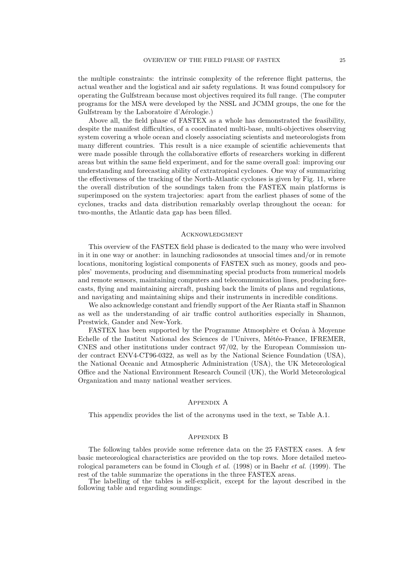the multiple constraints: the intrinsic complexity of the reference flight patterns, the actual weather and the logistical and air safety regulations. It was found compulsory for operating the Gulfstream because most objectives required its full range. (The computer programs for the MSA were developed by the NSSL and JCMM groups, the one for the Gulfstream by the Laboratoire d'Aérologie.)

Above all, the field phase of FASTEX as a whole has demonstrated the feasibility, despite the manifest difficulties, of a coordinated multi-base, multi-objectives observing system covering a whole ocean and closely associating scientists and meteorologists from many different countries. This result is a nice example of scientific achievements that were made possible through the collaborative efforts of researchers working in different areas but within the same field experiment, and for the same overall goal: improving our understanding and forecasting ability of extratropical cyclones. One way of summarizing the effectiveness of the tracking of the North-Atlantic cyclones is given by Fig. 11, where the overall distribution of the soundings taken from the FASTEX main platforms is superimposed on the system trajectories: apart from the earliest phases of some of the cyclones, tracks and data distribution remarkably overlap throughout the ocean: for two-months, the Atlantic data gap has been filled.

## **ACKNOWLEDGMENT**

This overview of the FASTEX field phase is dedicated to the many who were involved in it in one way or another: in launching radiosondes at unsocial times and/or in remote locations, monitoring logistical components of FASTEX such as money, goods and peoples' movements, producing and disemminating special products from numerical models and remote sensors, maintaining computers and telecommunication lines, producing forecasts, flying and maintaining aircraft, pushing back the limits of plans and regulations, and navigating and maintaining ships and their instruments in incredible conditions.

We also acknowledge constant and friendly support of the Aer Rianta staff in Shannon as well as the understanding of air traffic control authorities especially in Shannon, Prestwick, Gander and New-York.

FASTEX has been supported by the Programme Atmosphère et Océan à Moyenne Echelle of the Institut National des Sciences de l'Univers, Météo-France, IFREMER, CNES and other institutions under contract 97/02, by the European Commission under contract ENV4-CT96-0322, as well as by the National Science Foundation (USA), the National Oceanic and Atmospheric Administration (USA), the UK Meteorological Office and the National Environment Research Council (UK), the World Meteorological Organization and many national weather services.

# Appendix A

This appendix provides the list of the acronyms used in the text, se Table A.1.

#### Appendix B

The following tables provide some reference data on the 25 FASTEX cases. A few basic meteorological characteristics are provided on the top rows. More detailed meteorological parameters can be found in Clough *et al.* (1998) or in Baehr *et al.* (1999). The rest of the table summarize the operations in the three FASTEX areas.

The labelling of the tables is self-explicit, except for the layout described in the following table and regarding soundings: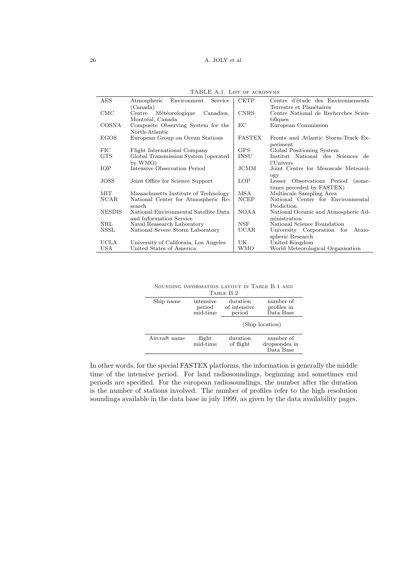TABLE A.1. LIST OF ACRONYMS

| AES           | Environment<br>Atmospheric<br>Service | <b>CETP</b>   | Centre d'étude des Environnements    |
|---------------|---------------------------------------|---------------|--------------------------------------|
|               | (Canada)                              |               | Terrestre et Planétaires             |
| CMC           | Météorologique<br>Canadien,<br>Centre | <b>CNRS</b>   | Centre National de Recherches Scien- |
|               | Montréal, Canada                      |               | tifiques                             |
| COSNA         | Composite Observing System for the    | EС            | European Commission                  |
|               | North-Atlantic                        |               |                                      |
| <b>EGOS</b>   | European Group on Ocean Stations      | <b>FASTEX</b> | Fronts and Atlantic Storm-Track Ex-  |
|               |                                       |               | periment                             |
| FIC.          | Flight International Company          | GPS.          | Global Positioning System            |
| <b>GTS</b>    | Global Transmission System (operated) | INSU          | Institut National des Sciences<br>de |
|               | by WMO)                               |               | l'Univers                            |
| <b>IOP</b>    | Intensive Observation Period          | JCMM          | Joint Centre for Mesoscale Meteorol- |
|               |                                       |               | ogy                                  |
| JOSS          | Joint Office for Science Support      | <b>LOP</b>    | Lesser Observations Period<br>(some- |
|               |                                       |               | times preceded by FASTEX)            |
| MIT           | Massachusetts Institute of Technology | MSA           | Multiscale Sampling Area             |
| <b>NCAR</b>   | National Center for Atmospheric Re-   | NCEP          | National Center for Environmental    |
|               | search                                |               | Prediction                           |
| <b>NESDIS</b> | National Environmental Satellite Data | <b>NOAA</b>   | National Oceanic and Atmospheric Ad- |
|               | and Information Service               |               | ministration                         |
| NRL           | Naval Reasearch Laboratory            | NSF           | National Science Foundation          |
| NSSL          | National Severe Storm Laboratory      | UCAR          | University Corporation for<br>Atmo-  |
|               |                                       |               | spheric Research                     |
| <b>UCLA</b>   | University of California, Los Angeles | UK            | United Kingdom                       |
| USA           | United States of America              | WMO           | World Meteorological Organisation    |

Sounding information layout in Table B.1 and

|               | TABLE B.2                       |                                    |                                         |  |  |  |  |  |  |  |  |  |  |  |
|---------------|---------------------------------|------------------------------------|-----------------------------------------|--|--|--|--|--|--|--|--|--|--|--|
| Ship name     | intensive<br>period<br>mid-time | duration<br>of intensive<br>period |                                         |  |  |  |  |  |  |  |  |  |  |  |
|               | (Ship location)                 |                                    |                                         |  |  |  |  |  |  |  |  |  |  |  |
| Aircraft name | flight<br>mid-time              | duration<br>of flight              | number of<br>dropsondes in<br>Data Base |  |  |  |  |  |  |  |  |  |  |  |

In other words, for the special FASTEX platforms, the information is generally the middle time of the intensive period. For land radiosoundings, beginning and sometimes end periods are specified. For the european radiosoundings, the number after the duration is the number of stations involved. The number of profiles refer to the high resolution soundings available in the data base in july 1999, as given by the data availability pages.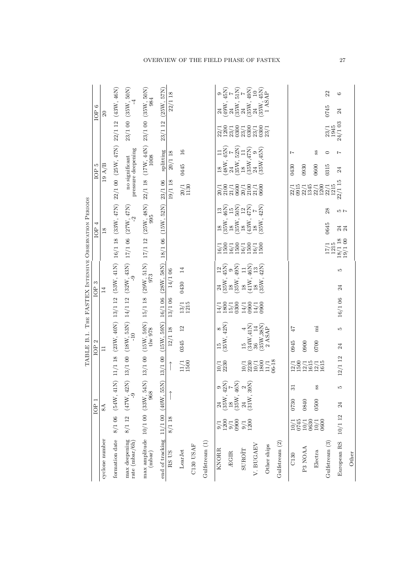|                                       | IOP <sub>1</sub>                                                                                           |                                                                  |                                                       | 2<br>.<br>DP                                                                                                                                                                                     |    | TABLE B.1. THE FASTEX INTENSIVE OBSERVATION PERIODS                                                                                                                                                                                                                                                                                     | IOP <sub>3</sub>                                                                                                                                                                                                                                                                                                                                       |    |                                                                 | .<br>DP                                                                                                                                                                                                                                           |      |                                                                                                                                                                                                                                                                                                                                               | J.<br>IOP:                                                                                                                                                                                                                                                    |                                                          | LOP <sub>6</sub> |                                                                                                                                                                   |
|---------------------------------------|------------------------------------------------------------------------------------------------------------|------------------------------------------------------------------|-------------------------------------------------------|--------------------------------------------------------------------------------------------------------------------------------------------------------------------------------------------------|----|-----------------------------------------------------------------------------------------------------------------------------------------------------------------------------------------------------------------------------------------------------------------------------------------------------------------------------------------|--------------------------------------------------------------------------------------------------------------------------------------------------------------------------------------------------------------------------------------------------------------------------------------------------------------------------------------------------------|----|-----------------------------------------------------------------|---------------------------------------------------------------------------------------------------------------------------------------------------------------------------------------------------------------------------------------------------|------|-----------------------------------------------------------------------------------------------------------------------------------------------------------------------------------------------------------------------------------------------------------------------------------------------------------------------------------------------|---------------------------------------------------------------------------------------------------------------------------------------------------------------------------------------------------------------------------------------------------------------|----------------------------------------------------------|------------------|-------------------------------------------------------------------------------------------------------------------------------------------------------------------|
|                                       | 8A                                                                                                         |                                                                  |                                                       | $\Xi$                                                                                                                                                                                            |    |                                                                                                                                                                                                                                                                                                                                         | 14                                                                                                                                                                                                                                                                                                                                                     |    |                                                                 | 18                                                                                                                                                                                                                                                |      |                                                                                                                                                                                                                                                                                                                                               | $19 \text{ A} / \text{B}$                                                                                                                                                                                                                                     |                                                          | $\Omega$         |                                                                                                                                                                   |
|                                       |                                                                                                            |                                                                  |                                                       |                                                                                                                                                                                                  |    | $8/1\ 06\quad (54\,{\rm W},\ 41\rm N) \quad 11/1\ 18\quad (23\rm W,\ 40\rm N) \quad 13/1\ 12\quad (53\rm W,\ 41\rm N) \quad 16/1\ 18\quad (33\rm W,\ 47\rm N)$                                                                                                                                                                          |                                                                                                                                                                                                                                                                                                                                                        |    |                                                                 |                                                                                                                                                                                                                                                   |      |                                                                                                                                                                                                                                                                                                                                               | $22/100$ ( $25W, 47N$ )                                                                                                                                                                                                                                       |                                                          |                  | $22/112$ (43W, 46N)                                                                                                                                               |
|                                       | $8/1~12~~(47\rm{W},~42\rm{N})\\ -9$                                                                        |                                                                  |                                                       |                                                                                                                                                                                                  |    | $13/100$ $(18W, 53N)$ $14/112$ $(32W, 43N)$<br>$-9$                                                                                                                                                                                                                                                                                     |                                                                                                                                                                                                                                                                                                                                                        |    | $17/1~06~~(27W, 47N)$                                           |                                                                                                                                                                                                                                                   |      |                                                                                                                                                                                                                                                                                                                                               | no significant<br>pressure deepening                                                                                                                                                                                                                          |                                                          |                  | $23/100$ (35W, 50N)<br>$^{-4}$                                                                                                                                    |
|                                       |                                                                                                            |                                                                  |                                                       |                                                                                                                                                                                                  |    | $\begin{array}{lll} \mbox{max amplitude} & 10/1~00 & (33\,\mbox{W},~54\mbox{N}) & 13/1~00 & (15\,\mbox{W},~59\mbox{N}) & 15/1~18 & (29\,\mbox{W},~51\mbox{N}) & 17/1~12 & (25\mbox{W},~48\mbox{N}) \\ \mbox{(mbar)} & & 968 & 10 & 10 & 10 & 10 & 18 & 10 & 10 \\ \mbox{(mbar)} & & 995 & 10 & 10 & 10 & 10 & 10 & 10 & 10 \\ \mbox{(m$ |                                                                                                                                                                                                                                                                                                                                                        |    |                                                                 |                                                                                                                                                                                                                                                   |      |                                                                                                                                                                                                                                                                                                                                               | $\frac{22}{18} \, \, \frac{(17 \text{W}, \, 44 \text{N})}{1008}$                                                                                                                                                                                              |                                                          |                  | $23/1~00~\left(35 {\rm W},\, 50 {\rm N}\right)~$<br>$984$                                                                                                         |
| $8/1\ 18$                             |                                                                                                            |                                                                  |                                                       | 12/118                                                                                                                                                                                           |    | end of tracking 11/1 00 (40W, 55N) 13/1 00 (15W, 59N) 16/1 06 (28W, 58N) 18/1 06 (15W, 52N)<br>$13/1\ 06$                                                                                                                                                                                                                               | 14/106                                                                                                                                                                                                                                                                                                                                                 |    |                                                                 |                                                                                                                                                                                                                                                   |      | 19/1 18<br>23/106                                                                                                                                                                                                                                                                                                                             | splitting<br>20/118                                                                                                                                                                                                                                           | 23/1 12                                                  |                  | (25W, 57N)<br>22/118                                                                                                                                              |
|                                       |                                                                                                            |                                                                  | $\frac{11}{1500}$                                     | 0345                                                                                                                                                                                             | 12 | $\frac{13}{1215}$                                                                                                                                                                                                                                                                                                                       | 0430                                                                                                                                                                                                                                                                                                                                                   | 14 |                                                                 |                                                                                                                                                                                                                                                   |      | $\frac{20}{1130}$                                                                                                                                                                                                                                                                                                                             | 16<br>0445                                                                                                                                                                                                                                                    |                                                          |                  |                                                                                                                                                                   |
|                                       |                                                                                                            |                                                                  |                                                       |                                                                                                                                                                                                  |    |                                                                                                                                                                                                                                                                                                                                         |                                                                                                                                                                                                                                                                                                                                                        |    |                                                                 |                                                                                                                                                                                                                                                   |      |                                                                                                                                                                                                                                                                                                                                               |                                                                                                                                                                                                                                                               |                                                          |                  |                                                                                                                                                                   |
| $\frac{9}{1200}$                      | $\begin{array}{l} 24 \\ (35\,\mathrm{W}) \\ 18 \\ (35\,\mathrm{W}) \\ 24 \\ (31\,\mathrm{W}), \end{array}$ | $\begin{array}{c} 9 \\ 42N \\ + 6N \\ \hline 46N \\ \end{array}$ | 10230718<br>2020213<br>2021106<br>$\frac{10/1}{2230}$ | $\begin{array}{cc} 15 & 8 \\ (35{\rm W},\,42{\rm N}) \end{array}$<br>$\begin{array}{cc} 15 & 4 \\ (34\text{W}, 41\text{N}) \\ 36 & 14 \\ (35\text{W}, 38\text{N}) \\ 2 \text{ ASAP} \end{array}$ |    | $\begin{array}{c} 14/1 \\ 180 \\ 15/1 \\ 030 \\ \end{array}$<br>14/1<br>0901<br>1900<br>1900                                                                                                                                                                                                                                            | $\begin{array}{ccc} 24 & 12\\ (35\text{W},\, 45\text{N})\\ (36\text{W},\, 9)\\ (35\text{W},\, 49\text{N})\\ (35\text{W},\, 49\text{N})\\ (41\text{W},\, 46\text{N})\\ (35\text{W},\, 42\text{N})\\ (35\text{W},\, 42\text{N})\\ (35\text{W},\, 42\text{N})\\ (35\text{W},\, 42\text{N})\\ (35\text{W},\, 42\text{N})\\ (35\text{W},\, 42\text{N})\\ ($ |    | 195555556<br>195655555                                          | $\begin{array}{ccc} 18 & 13 \\ (35\text{W},\, 46\text{N}) \\ 18 & 15 \\ (35\text{W},\, 50\text{N}) \\ (36\text{W},\, 50\text{N}) \\ (43\text{W},\, 47\text{N}) \\ 18 & 7 \\ (35\text{W},\, 42\text{N}) \\ (35\text{W},\, 42\text{N}) \end{array}$ |      | 28782278<br>28782278                                                                                                                                                                                                                                                                                                                          | $\begin{array}{ll} 18 & 11 \\ (48\text{W},\ 45\text{N}) \\ 24 & 7 \\ (35\text{W},\ 52\text{N}) \\ (36\text{W},\ 11 \\ (38\text{W},\ 47\text{N}) \\ (38\text{W},\ 47\text{N}) \\ 24 & 9 \\ (35\text{W},\ 45\text{N}) \\ (35\text{W},\ 45\text{N}) \end{array}$ |                                                          |                  | $\begin{array}{ll} 24 & 9\\ (49W,\ 45N)\\ (35W,\ 51N)\\ (35W,\ 51N)\\ (36W,\ 49N)\\ 24 & 10\\ (36W,\ 45N)\\ 24 & 10\\ (35W,\ 45N)\\ 1\ \mathrm{ASAP} \end{array}$ |
| $\frac{10}{1030}$<br>$\frac{10}{145}$ | 0730<br>0840                                                                                               | $\overline{3}$                                                   | $\frac{25}{15}$ $\frac{27}{16}$                       | 0945<br>0900                                                                                                                                                                                     | 47 |                                                                                                                                                                                                                                                                                                                                         |                                                                                                                                                                                                                                                                                                                                                        |    |                                                                 |                                                                                                                                                                                                                                                   |      | $\begin{array}{c} 215 \\ 231 \\ 245 \\ 245 \\ 245 \\ 210 \\ 245 \\ 210 \\ 21 \\ 22 \\ 23 \\ 24 \\ 24 \\ 25 \\ 26 \\ 27 \\ 28 \\ 29 \\ 21 \\ 22 \\ 23 \\ 24 \\ 25 \\ 26 \\ 27 \\ 28 \\ 29 \\ 21 \\ 23 \\ 24 \\ 25 \\ 26 \\ 27 \\ 28 \\ 29 \\ 29 \\ 21 \\ 23 \\ 24 \\ 25 \\ 26 \\ 27 \\ 28 \\ 29 \\ 29 \\ 29 \\ 21 \\ 29 \\ 21 \\ 23 \\ 24 \\ $ | $\overline{z}$<br>0430<br>0600<br>0930                                                                                                                                                                                                                        |                                                          |                  |                                                                                                                                                                   |
| $\frac{10}{100}$                      | 0500                                                                                                       | SS                                                               | $\frac{12}{1615}$                                     | 0700                                                                                                                                                                                             | Ē  |                                                                                                                                                                                                                                                                                                                                         |                                                                                                                                                                                                                                                                                                                                                        |    |                                                                 | 0645                                                                                                                                                                                                                                              | 28   | $\begin{array}{c} 22/1 \\ 1215 \\ 22/1 \ 15 \end{array}$                                                                                                                                                                                                                                                                                      | SS<br>$\circ$<br>0315                                                                                                                                                                                                                                         | $\begin{array}{c} 23/1 \\ 1945 \\ 24/1 \ 03 \end{array}$ | 0745             | $\mathbf{z}$                                                                                                                                                      |
| $10/1\ 12$                            | 24                                                                                                         | S                                                                | 12/112                                                | 24                                                                                                                                                                                               | S  | 16/106                                                                                                                                                                                                                                                                                                                                  | 24                                                                                                                                                                                                                                                                                                                                                     | S  | $\begin{array}{c} 17/1 \\ 1215 \\ 18/118 \\ 19/100 \end{array}$ | 24                                                                                                                                                                                                                                                | 7 CI |                                                                                                                                                                                                                                                                                                                                               | $\overline{z}$<br>$\overline{24}$                                                                                                                                                                                                                             |                                                          | 24               | G                                                                                                                                                                 |
|                                       |                                                                                                            |                                                                  |                                                       |                                                                                                                                                                                                  |    |                                                                                                                                                                                                                                                                                                                                         |                                                                                                                                                                                                                                                                                                                                                        |    |                                                                 |                                                                                                                                                                                                                                                   |      |                                                                                                                                                                                                                                                                                                                                               |                                                                                                                                                                                                                                                               |                                                          |                  |                                                                                                                                                                   |

OVERVIEW OF THE FIELD PHASE OF FASTEX  $\hspace{2.5mm}$  27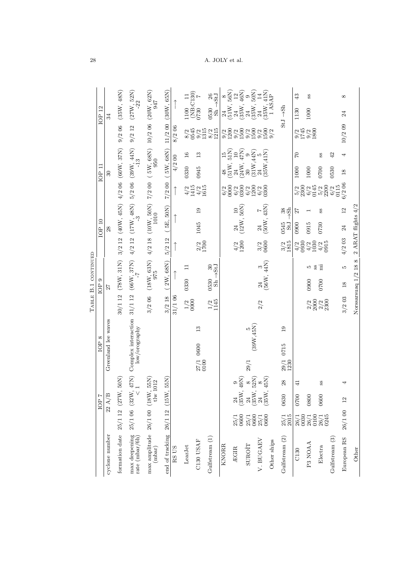|                     |                  |                          | (35W, 48N)                                                                   | $(27W, 52N)$                                                                  |                                                                                                                                  | (30W, 65N)                         |            |               | $(MB: C130)$<br>0730 7                                              | $\begin{array}{cc} 0530 & 26 \\ \mathrm{Sh} \to \mathrm{StJ} \end{array}$   |                    | $\begin{array}{c} 24 \\ (51W,~56N) \\ (24 \\ (35W,~46N) \\ (35W,~50N) \\ (35W,~50N) \\ 24 \\ (35W,~50N) \\ (35W,~41N) \\ (35W,~41N) \\ 1 \ \mathrm{ASAP} \\ \end{array}$ |        |            |                                                                                                                                                      |             |                              | 43                    | SS                                                                       |                                                                                   |                                                               | $^{\circ}$      |                      |
|---------------------|------------------|--------------------------|------------------------------------------------------------------------------|-------------------------------------------------------------------------------|----------------------------------------------------------------------------------------------------------------------------------|------------------------------------|------------|---------------|---------------------------------------------------------------------|-----------------------------------------------------------------------------|--------------------|--------------------------------------------------------------------------------------------------------------------------------------------------------------------------|--------|------------|------------------------------------------------------------------------------------------------------------------------------------------------------|-------------|------------------------------|-----------------------|--------------------------------------------------------------------------|-----------------------------------------------------------------------------------|---------------------------------------------------------------|-----------------|----------------------|
|                     | <b>IOP 12</b>    | 34                       |                                                                              |                                                                               |                                                                                                                                  |                                    |            | 100           |                                                                     |                                                                             |                    |                                                                                                                                                                          |        |            |                                                                                                                                                      |             | $StJ \rightarrow Sh$         | 1130                  | 1000                                                                     |                                                                                   |                                                               | 24              |                      |
|                     |                  |                          | 9/206                                                                        | $9/2\ 12$                                                                     | $7/2$ 00 ( $5$ W, $68N$ ) 10/2 06 (20W, $62N$ )<br>950 950                                                                       | $11/2\ 00$                         | 8/206      |               | 8/2<br>0545<br>9/2<br>1315                                          | $\frac{8}{215}$                                                             | $\frac{9/2}{1200}$ |                                                                                                                                                                          |        |            |                                                                                                                                                      |             |                              | $\frac{9}{2}$<br>1745 | $\frac{9/2}{1800}$                                                       |                                                                                   |                                                               | 10/209          |                      |
|                     |                  |                          | $3/2~12~~(40\,\mbox{W},~45\,\mbox{N})~~4/2~06~~(60\,\mbox{W},~37\,\mbox{N})$ | $5/2~06~~(39W,44N)$                                                           |                                                                                                                                  | $7/2$ 00 ( $5W, 68N$ )             | $4/2$ 00   | 16            | $\frac{3}{2}$                                                       |                                                                             |                    | $\begin{array}{ll} 48 & 15 \\ (51W,~51N) \\ 24 & 10 \\ (24W,~47N) \\ (30W,~44N) \\ (31W,44N) \\ 24 & 5 \\ (35W,41N) \end{array}$                                         |        |            |                                                                                                                                                      |             |                              | $\overline{C}$        |                                                                          | SS                                                                                | $42$                                                          | 4               |                      |
|                     | IOP 11           | $\overline{30}$          |                                                                              |                                                                               |                                                                                                                                  |                                    |            | 0330          | 0945                                                                |                                                                             |                    |                                                                                                                                                                          |        |            |                                                                                                                                                      |             |                              | 1000                  | 1000                                                                     | 0700                                                                              | 0530                                                          | 18              |                      |
|                     |                  |                          |                                                                              |                                                                               |                                                                                                                                  |                                    | $\uparrow$ |               | $\frac{4}{2}$<br>$\frac{14}{3}$<br>$\frac{1}{2}$<br>$\frac{15}{15}$ |                                                                             | $\frac{6/2}{0000}$ |                                                                                                                                                                          |        |            |                                                                                                                                                      |             |                              |                       |                                                                          |                                                                                   | 5/2<br>2300<br>2300<br>5/2<br>5/2<br>5/2<br>5/2<br>6/2<br>6/2 |                 |                      |
|                     |                  |                          |                                                                              |                                                                               |                                                                                                                                  | (5E, 50N)                          |            |               | $\overline{0}$                                                      |                                                                             |                    | $10\,$                                                                                                                                                                   |        |            |                                                                                                                                                      |             | $\overset{\circ}{\approx}$   | 27                    |                                                                          | SS                                                                                |                                                               | $\overline{12}$ |                      |
|                     | <b>IOP 10</b>    | 28                       |                                                                              | $(17W, 48N)$ -3                                                               |                                                                                                                                  |                                    |            |               | 1045                                                                |                                                                             |                    | $\begin{array}{c} 24 \\ (12\text{W},\,50\text{N}) \end{array}$                                                                                                           |        |            | $\begin{array}{c} 24 \\ (50\text{W},\,43\text{N}) \end{array}$                                                                                       |             | 0545<br>StJ                  | 0900                  | 0915                                                                     | 0730                                                                              |                                                               | 24              | 2 ARAT flights $4/2$ |
|                     |                  |                          |                                                                              | $(66W, 37N)$ 4/2 12<br>-7                                                     | $\begin{array}{cc} (18\,\mbox{W}\,,\,63\,\mbox{N}) & 4/2\,\,18 & (10\,\mbox{W}\,,\,50\,\mbox{N}) \\ 975 & & 1010 \\ \end{array}$ | 5/212                              |            |               | $\frac{2}{2}$<br>1700                                               |                                                                             |                    | $\frac{4/2}{1200}$                                                                                                                                                       |        |            | $\frac{3/2}{0600}$                                                                                                                                   |             | $\frac{3}{2}$<br>1815        | $\frac{4/2}{1930}$    | $\frac{4}{2}$<br>$\frac{3}{4}$<br>$\frac{2}{3}$<br>$\frac{1}{2}$<br>9915 |                                                                                   |                                                               | 4/203           |                      |
|                     |                  |                          | $(78W, 31N)$                                                                 |                                                                               |                                                                                                                                  | $(2W, 68N)$                        |            | $\equiv$      |                                                                     |                                                                             |                    |                                                                                                                                                                          |        |            | $\begin{array}{cc} 24 & 3 \\ (56\text{W},\,44\text{N}) \end{array}$                                                                                  |             |                              |                       | Ю                                                                        | inn<br>Sa                                                                         |                                                               | S               |                      |
|                     | IOP              | 27                       |                                                                              |                                                                               |                                                                                                                                  |                                    |            | 0330          |                                                                     | $\begin{matrix} 0530 & 30 \\ \text{Sh} \rightarrow \text{StJ} \end{matrix}$ |                    |                                                                                                                                                                          |        |            |                                                                                                                                                      |             |                              |                       | 0900                                                                     | 0700                                                                              |                                                               | $\frac{8}{18}$  |                      |
| TABLE B.1 CONTINUED |                  |                          | 30/112                                                                       | $31/1\ 12$                                                                    | 3/206                                                                                                                            | 3/218                              | 31/106     | $\frac{1}{2}$ |                                                                     | $\frac{1}{2}$                                                               |                    |                                                                                                                                                                          |        |            | 2/2                                                                                                                                                  |             |                              |                       |                                                                          | $\frac{2}{2}$<br>$\frac{2}{2}$<br>$\frac{2}{2}$<br>$\frac{2}{3}$<br>$\frac{2}{3}$ |                                                               | 3/203           | Norssarsuaq 1/2 18 8 |
|                     |                  |                          |                                                                              | Complex interaction                                                           |                                                                                                                                  |                                    |            |               | $\frac{3}{2}$                                                       |                                                                             |                    |                                                                                                                                                                          |        | (39W, 45N) |                                                                                                                                                      |             | $\overline{19}$              |                       |                                                                          |                                                                                   |                                                               |                 |                      |
|                     | $\infty$<br>IOP  | Greenland lee waves      |                                                                              | low/orography                                                                 |                                                                                                                                  |                                    |            |               | 0600                                                                |                                                                             |                    |                                                                                                                                                                          |        |            |                                                                                                                                                      |             | 0715                         |                       |                                                                          |                                                                                   |                                                               |                 |                      |
|                     |                  |                          |                                                                              |                                                                               |                                                                                                                                  |                                    |            |               | $\frac{27}{100}$                                                    |                                                                             |                    |                                                                                                                                                                          | 29/1   |            |                                                                                                                                                      |             | $\frac{29}{1230}$            |                       |                                                                          |                                                                                   |                                                               |                 |                      |
|                     |                  |                          |                                                                              |                                                                               |                                                                                                                                  |                                    |            |               |                                                                     |                                                                             |                    |                                                                                                                                                                          |        |            |                                                                                                                                                      |             | 28                           | $\frac{1}{4}$         |                                                                          | SS                                                                                |                                                               | 4               |                      |
|                     | IOP <sub>7</sub> | 巴<br>人<br>$22 \text{ A}$ |                                                                              |                                                                               |                                                                                                                                  |                                    |            |               |                                                                     |                                                                             |                    |                                                                                                                                                                          |        |            | $\begin{array}{c} 24 & 9\\ (35\text{W},\,49\text{N})\\ 24 & 8\\ (35\text{W},\,52\text{N})\\ 24 & 8\\ 24 & 8\\ (35\text{W},\,45\text{N}) \end{array}$ |             | 0630                         | 0700                  | 0800                                                                     | 0600                                                                              |                                                               | $\overline{12}$ |                      |
|                     |                  |                          |                                                                              | $25/1~06~~(32 {\rm W},~47 {\rm N})\\ <1$                                      |                                                                                                                                  |                                    |            |               |                                                                     |                                                                             |                    | 25/1<br>0600                                                                                                                                                             | 25/1   | 0600       | $\frac{25/1}{0600}$                                                                                                                                  |             | $25/1$<br>$2015$             | $\frac{26}{1}$        | $\frac{26}{100}$                                                         | 26/1<br>0245                                                                      |                                                               | 26/100          |                      |
|                     |                  | cyclone number           | formation date $25/1$ 12 $(27W, 50N)$                                        | $\begin{array}{c} \max \mbox{ deepening}\\ \text{rate (mbar/6h)} \end{array}$ | $\begin{tabular}{ll} max amplitude & 26/1~00 & (18W,~55N)\\ (mbar) & & \\ \end{tabular}$                                         | end of tracking 26/1 12 (15W, 55N) | RS US      | LearJet       | C130 USAF                                                           | Gulfstream $\left(1\right)$                                                 | KNORR              | EGIR                                                                                                                                                                     | SUROÎT |            | V. BUGAEV                                                                                                                                            | Other ships | Gulfstream $\left( 2\right)$ | C130                  | P3 NOAA                                                                  | Electra                                                                           | Gulfstream (3)                                                | European RS     | Other                |

 $\,$  28  $\,$   $\,$  A. JOLY et al.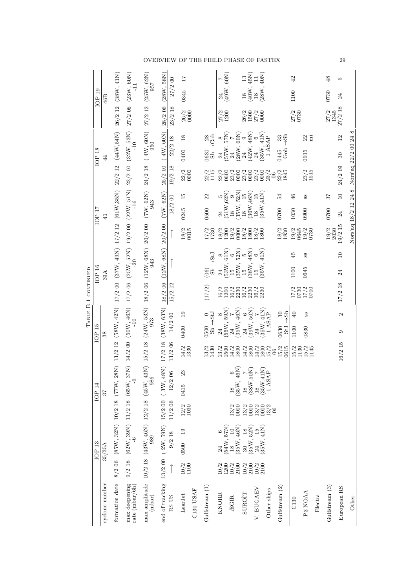# OVERVIEW OF THE FIELD PHASE OF FASTEX  $\hspace{0.5cm} 29$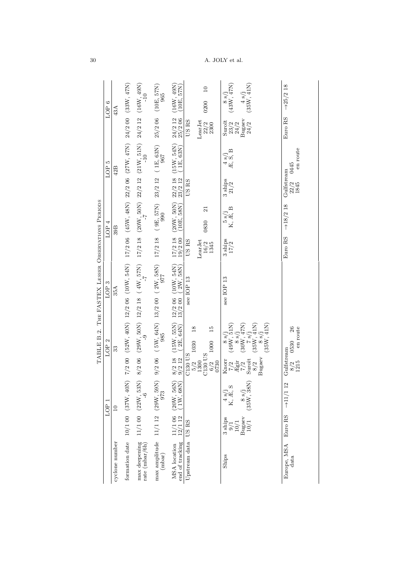|                                                   | LOP <sub>6</sub> | 43A            | $24/2$ 00 (33W, 47N)                                                                                                                                                         | $24/2~12~~({\rm 16W,~49N})\\ -10~~$                                            | $25/2 \ 06 \quad \  \  (10E, \ 57N) \\ 965$                                                                                                                                                                                                                                                                                          | $(16W, 49N)$<br>$(10E, 57N)$                                                                                                                                                                                             |                               | $\overline{10}$<br>0200                                                   | $\underset{(43\text{W},~47\text{N})}{8\,\mathrm{s}/\mathrm{j}}$                   | $\frac{4}{(35\text{W},\,41\text{N})}$                                                                                                                                                                                                                                 | $\rightarrow 25/218$                          |
|---------------------------------------------------|------------------|----------------|------------------------------------------------------------------------------------------------------------------------------------------------------------------------------|--------------------------------------------------------------------------------|--------------------------------------------------------------------------------------------------------------------------------------------------------------------------------------------------------------------------------------------------------------------------------------------------------------------------------------|--------------------------------------------------------------------------------------------------------------------------------------------------------------------------------------------------------------------------|-------------------------------|---------------------------------------------------------------------------|-----------------------------------------------------------------------------------|-----------------------------------------------------------------------------------------------------------------------------------------------------------------------------------------------------------------------------------------------------------------------|-----------------------------------------------|
|                                                   |                  |                |                                                                                                                                                                              |                                                                                |                                                                                                                                                                                                                                                                                                                                      | $\frac{24}{2}$ 12<br>$\frac{25}{2}$ 06                                                                                                                                                                                   | US RS                         | LearJet<br>22/2<br>2300                                                   | $\begin{array}{l} {\rm{Sur\,ot}} \\ 23/2 \\ 24/2 \\ {\rm{Bugaev}} \\ \end{array}$ |                                                                                                                                                                                                                                                                       | Euro RS                                       |
|                                                   | LOP <sub>5</sub> | 42B            | $7/2 \:\: 00 \quad (\text{52W, 40N}) \  \  12/2 \:\: 06 \quad (\text{10W, 54N}) \  \  \, 17/2 \:\: 06 \quad (\text{45W, 48N}) \  \  \, 22/2 \:\: 06 \quad (\text{27W, 47N})$ | $17/2$ 18 (20W, 50N) 22/2 12 (21W, 51N)<br>$^{-7}_{-7}$                        |                                                                                                                                                                                                                                                                                                                                      | $\begin{array}{cc} 22/2 \ 18 & (15 \text{W}, \ 54 \text{N}) \\ 23/2 \ 12 & (1 \text{E}, \ 63 \text{N}) \end{array}$                                                                                                      |                               |                                                                           | $4 s/j$<br>$E, S, B$                                                              |                                                                                                                                                                                                                                                                       | en route<br>0445                              |
|                                                   |                  |                |                                                                                                                                                                              |                                                                                |                                                                                                                                                                                                                                                                                                                                      |                                                                                                                                                                                                                          | US RS                         |                                                                           | $\frac{3 \text{ ships}}{21/2}$                                                    |                                                                                                                                                                                                                                                                       | Gulfstream<br>$22/2$<br>1845                  |
|                                                   | LOP $4$          | 39B            |                                                                                                                                                                              |                                                                                |                                                                                                                                                                                                                                                                                                                                      | $(20W, 50N)$<br>$(10E, 58N)$                                                                                                                                                                                             |                               | $\overline{\mathbf{z}}$<br>0830                                           | $\begin{array}{c} 5 \text{ s/j} \\ \text{K, } \text{E, B} \end{array}$            |                                                                                                                                                                                                                                                                       | $\rightarrow$ 18/2 18                         |
|                                                   |                  |                |                                                                                                                                                                              |                                                                                |                                                                                                                                                                                                                                                                                                                                      | $\frac{17}{2}$ 18<br>19/2 00                                                                                                                                                                                             | US RS                         | Lear<br>Jet<br>$16/2 \\ 1345$                                             | $3$ ships $17/2$                                                                  |                                                                                                                                                                                                                                                                       | Euro RS                                       |
| TABLE B.2. THE FASTEX LESSER OBSERVATIONS PERIODS | LOP <sub>3</sub> | 35A            |                                                                                                                                                                              | $8/2$ 06 (29W, 50N) 12/2 18 (4W, 57N)<br>-9 $-9$                               |                                                                                                                                                                                                                                                                                                                                      |                                                                                                                                                                                                                          | see IOP 13                    |                                                                           | see IOP 13                                                                        |                                                                                                                                                                                                                                                                       |                                               |
|                                                   |                  |                |                                                                                                                                                                              |                                                                                |                                                                                                                                                                                                                                                                                                                                      |                                                                                                                                                                                                                          |                               |                                                                           |                                                                                   |                                                                                                                                                                                                                                                                       |                                               |
|                                                   | LOP <sub>2</sub> | 33             |                                                                                                                                                                              |                                                                                |                                                                                                                                                                                                                                                                                                                                      | $\begin{array}{llll} 8/2 \ 18 & (15 \mathrm{W}, \ 55 \mathrm{M}) & 12/2 \ 06 & (10 \mathrm{W}, \ 54 \mathrm{M}) \\ 9/2 \ 12 & (2 \mathrm{E}, \ 64 \mathrm{M}) & 13/2 \ 00 & (2 \mathrm{W}, \ 58 \mathrm{M}) \end{array}$ | 1030 18                       | $\frac{15}{2}$<br>1000                                                    |                                                                                   | $\begin{array}{c} 8\ s/1\\ (49\mathrm{W},\,51\mathrm{N})\\ (8\ s/1\\ (30\mathrm{W},\,47\mathrm{N})\\ (35\mathrm{W},\,41\mathrm{N})\\ (35\mathrm{W},\,41\mathrm{N})\\ (8\ s/1\\ (8\ s/1\\ (35\mathrm{W},\,41\mathrm{N})\\ (35\mathrm{W},\,41\mathrm{N})\\ \end{array}$ | en route<br>0530                              |
|                                                   |                  |                |                                                                                                                                                                              |                                                                                |                                                                                                                                                                                                                                                                                                                                      |                                                                                                                                                                                                                          | C130 US<br>$\frac{5/2}{1300}$ | $\begin{array}{c} {\rm C}130 {\rm ~US} \\ 6/2 \\ {\rm 0}730 \end{array}.$ |                                                                                   | Bugaev<br>$\begin{array}{l} \mbox{Knorr} \\ \mbox{7/2} \\ \mbox{4.} \\ \mbox{7/2} \\ \mbox{5.} \\ \mbox{5.} \\ \mbox{8/2} \\ \end{array}$                                                                                                                             | Gulfstream<br>$\frac{8}{215}$                 |
|                                                   | LOP <sub>1</sub> | $\overline{a}$ | (M04)                                                                                                                                                                        | $53N$ )<br>$11/100$ (22W, 5?                                                   |                                                                                                                                                                                                                                                                                                                                      | $\frac{56N}{68N}$                                                                                                                                                                                                        |                               |                                                                           | $\overset{4}{\kappa}, \overset{\mathbf{s}/\mathbf{j}}{\mathbf{E}}, \mathbf{S}$    | $\begin{array}{c} 8 \text{ s/j} \\ (35\text{W},\,38\text{N}) \end{array}$                                                                                                                                                                                             | /112                                          |
|                                                   |                  |                |                                                                                                                                                                              |                                                                                |                                                                                                                                                                                                                                                                                                                                      | $\begin{array}{ll} 11/1 \ 06 & (20 \text{W}, \\ 12/1 \ 12 & (1 \text{W}, \\ \end{array}$                                                                                                                                 |                               |                                                                           | 3 ships<br>$\frac{1}{10}$                                                         | $\frac{\text{Bugaev}}{10/1}$                                                                                                                                                                                                                                          |                                               |
|                                                   |                  | cyclone number | formation date $10/1$ 00 (37W,                                                                                                                                               | $\begin{array}{c} \max \text{ deepening} \\ \text{rate (mbar/6h)} \end{array}$ | $\begin{array}{lllllllll} \max \text{amplitude} & 11/1 \ 12 & (29\text{W},\,59\text{N}) & 9/2 \ 06 & (\ 5\text{W},\,64\text{N}) & 13/2 \ 00 & (\ 2\text{W},\,58\text{N}) & 17/2 \ 18 & (\ 9\text{E},\,57\text{N}) & 23/2 \ 12 & (\ 1\text{E},\,63\text{N}) \\ (\text{mbar}) & & 973 & 967 & 985 & 987 & 990 & 990 & 967 \end{array}$ | end of tracking<br>MSA location                                                                                                                                                                                          | Upstream data US RS           |                                                                           | Ships                                                                             |                                                                                                                                                                                                                                                                       | Europe, MSA Euro RS $\rightarrow$ 11,<br>data |

 $30\,$   $\,$  A. JOLY et al.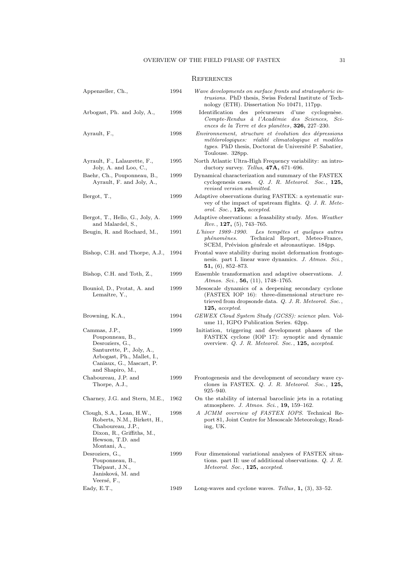# **REFERENCES**

| Appenzeller, Ch.,                                                                                                                                              | 1994 | Wave developments on surface fronts and stratospheric in-<br><i>trusions.</i> PhD thesis, Swiss Federal Institute of Tech-<br>nology (ETH). Dissertation No 10471, 117pp.                 |
|----------------------------------------------------------------------------------------------------------------------------------------------------------------|------|-------------------------------------------------------------------------------------------------------------------------------------------------------------------------------------------|
| Arbogast, Ph. and Joly, A.,                                                                                                                                    | 1998 | Identification des<br>précurseurs d'une cyclogenèse.<br>Compte-Rendus à l'Académie des Sciences,<br>Sci<br>ences de la Terre et des planètes, 326, 227-230.                               |
| Ayrault, F.,                                                                                                                                                   | 1998 | Environnement, structure et évolution des dépressions<br>météorologiques: réalité climatologique et modèles<br>types. PhD thesis, Doctorat de Université P. Sabatier,<br>Toulouse. 328pp. |
| Ayrault, F., Lalaurette, F.,<br>Joly, A. and Loo, C.,                                                                                                          | 1995 | North Atlantic Ultra-High Frequency variability: an intro-<br>ductory survey. Tellus, $47A$ , 671–696.                                                                                    |
| Baehr, Ch., Pouponneau, B.,<br>Ayrault, F. and Joly, A.,                                                                                                       | 1999 | Dynamical characterization and summary of the FASTEX<br>cyclogenesis cases. $Q. J. R. Metevol. Soc., 125,$<br>revised version submitted.                                                  |
| Bergot, T.,                                                                                                                                                    | 1999 | Adaptive observations during FASTEX: a systematic sur-<br>vey of the impact of upstream flights. Q. J. R. Mete-<br>orol. Soc., 125, accepted.                                             |
| Bergot, T., Hello, G., Joly, A.<br>and Malardel, S.,                                                                                                           | 1999 | Adaptive observations: a feasability study. Mon. Weather<br>$Rev.$ , 127, (5), 743-765.                                                                                                   |
| Beugin, R. and Rochard, M.,                                                                                                                                    | 1991 | L'hiver 1989-1990.<br>Les tempêtes et quelques autres<br>Technical Report, Meteo-France,<br><i>phénomènes.</i><br>SCEM, Prévision générale et aéronautique. 184pp.                        |
| Bishop, C.H. and Thorpe, A.J.,                                                                                                                                 | 1994 | Frontal wave stability during moist deformation frontoge-<br>nesis. part I. linear wave dynamics. J. Atmos. Sci.,<br>51, $(6)$ , 852–873.                                                 |
| Bishop, C.H. and Toth, Z.,                                                                                                                                     | 1999 | Ensemble transformation and adaptive observations. J.<br>Atmos. Sci., 56, $(11)$ , 1748-1765.                                                                                             |
| Bouniol, D., Protat, A. and<br>Lemaître, Y.,                                                                                                                   | 1999 | Mesoscale dynamics of a deepening secondary cyclone<br>(FASTEX IOP 16): three-dimensional structure re-<br>trieved from dropsonde data. $Q. J. R.$ Meteorol. Soc.,<br>125, accepted.      |
| Browning, K.A.,                                                                                                                                                | 1994 | GEWEX Cloud System Study (GCSS): science plan. Vol-<br>ume 11, IGPO Publication Series. 62pp.                                                                                             |
| Cammas, J.P.,<br>Pouponneau, B.,<br>Desroziers, G.,<br>Santurette, P., Joly, A.,<br>Arbogast, Ph., Mallet, I.,<br>Caniaux, G., Mascart, P.<br>and Shapiro, M., | 1999 | Initiation, triggering and development phases of the<br>FASTEX cyclone (IOP 17): synoptic and dynamic<br>overview. Q. J. R. Meteorol. Soc., 125, accepted.                                |
| Chaboureau, J.P. and<br>Thorpe, A.J.,                                                                                                                          | 1999 | Frontogenesis and the development of secondary wave cy-<br>clones in FASTEX. Q. J. R. Meteorol. Soc., 125,<br>925–940.                                                                    |
| Charney, J.G. and Stern, M.E.,                                                                                                                                 | 1962 | On the stability of internal baroclinic jets in a rotating<br>atmosphere. J. Atmos. Sci., 19, 159-162.                                                                                    |
| Clough, S.A., Lean, H.W.,<br>Roberts, N.M., Birkett, H.,<br>Chaboureau, J.P.,<br>Dixon, R., Griffiths, M.,<br>Hewson, T.D. and<br>Montani, A.,                 | 1998 | A JCMM overview of FASTEX IOPS. Technical Re-<br>port 81, Joint Centre for Mesoscale Meteorology, Read-<br>ing, UK.                                                                       |
| Desroziers, G.,<br>Pouponneau, B.,<br>Thépaut, J.N.,<br>Janisková, M. and<br>Veersé, F.,                                                                       | 1999 | Four dimensional variational analyses of FASTEX situa-<br>tions. part II: use of additional observations. $Q. J. R.$<br>Meteorol. Soc., 125, accepted.                                    |
| Eady, E.T.,                                                                                                                                                    | 1949 | Long-waves and cyclone waves. Tellus, $1, (3), 33-52$ .                                                                                                                                   |
|                                                                                                                                                                |      |                                                                                                                                                                                           |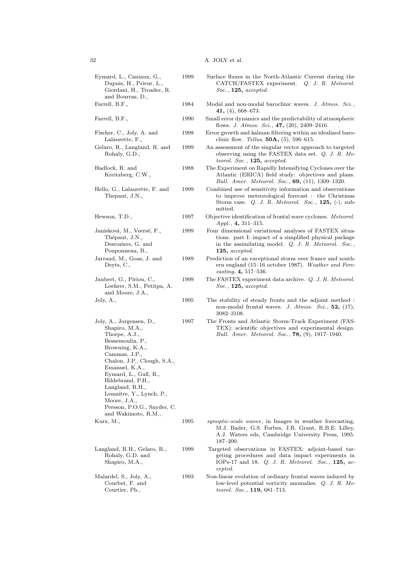| 1999 | S۱             |
|------|----------------|
|      |                |
| 1984 | М              |
| 1990 | Sr             |
| 1998 | Εı             |
| 1999 | A:             |
| 1988 | T              |
| 1999 | $\mathcal{C}$  |
| 1997 | O              |
| 1999 | F              |
| 1989 | $P_1$          |
| 1999 | T              |
| 1995 | Τ              |
| 1997 | Т              |
| 1995 | s <sub>i</sub> |
| 1999 | Ί              |
| 1993 | N              |
|      |                |

| 1999 | Surface fluxes in the North-Atlantic Current during the |  |  |  |
|------|---------------------------------------------------------|--|--|--|
|      | CATCH/FASTEX experiment. Q. J. R. Meteorol.             |  |  |  |
|      | $Soc.$ , 125, $accepted.$                               |  |  |  |

- Iodal and non-modal baroclinic waves. J. Atmos. Sci., **41,** (4), 668–673.
- mall error dynamics and the predictability of atmospheric flows. J. Atmos. Sci., **47,** (20), 2409–2416.
- rror growth and kalman filtering within an idealized baroclinic flow. Tellus, **50A,** (5), 596–615.
- n assessment of the singular vector approach to targeted observing using the FASTEX data set. Q. J. R. Meteorol. Soc., **125,** accepted.
- he Experiment on Rapidly Intensifying Cyclones over the Atlantic (ERICA) field study: objectives and plans. Bull. Amer. Meteorol. Soc., **69,** (11), 1309–1320.
- 1999 Combined use of sensitivity information and observations to improve meteorological forecast : the Christmas Storm case. Q. J. R. Meteorol. Soc., **125,** (-), submitted.
- bjective identification of frontal wave cyclones. Meteorol. Appl., **4,** 311–315.
- our dimensional variational analyses of FASTEX situations. part I: impact of a simplified physical package in the assimilating model. Q. J. R. Meteorol. Soc., **125,** accepted.
- rediction of an exceptional storm over france and southern england (15–16 october 1987). Weather and Forecasting, **4,** 517–536.
- he FASTEX experiment data archive. Q. J. R. Meteorol. Soc., **125,** accepted.
- The stability of steady fronts and the adjoint method : non-modal frontal waves. J. Atmos. Sci., **52,** (17), 3082–3108.
- he Fronts and Atlantic Storm-Track Experiment (FAS-TEX): scientific objectives and experimental design. Bull. Amer. Meteorol. Soc., **78,** (9), 1917–1940.

- ynoptic-scale waves, in Images in weather forecasting, M.J. Bader, G.S. Forbes, J.R. Grant, R.B.E. Lilley, A.J. Waters eds, Cambridge University Press, 1995. 187–200.
- Targeted observations in FASTEX: adjoint-based targeting procedures and data impact experiments in IOPs-17 and 18. Q. J. R. Meteorol. Soc., **125,** accepted.
- on-linear evolution of ordinary frontal waves induced by low-level potential vorticity anomalies. Q. J. R. Meteorol. Soc., **119,** 681–713.